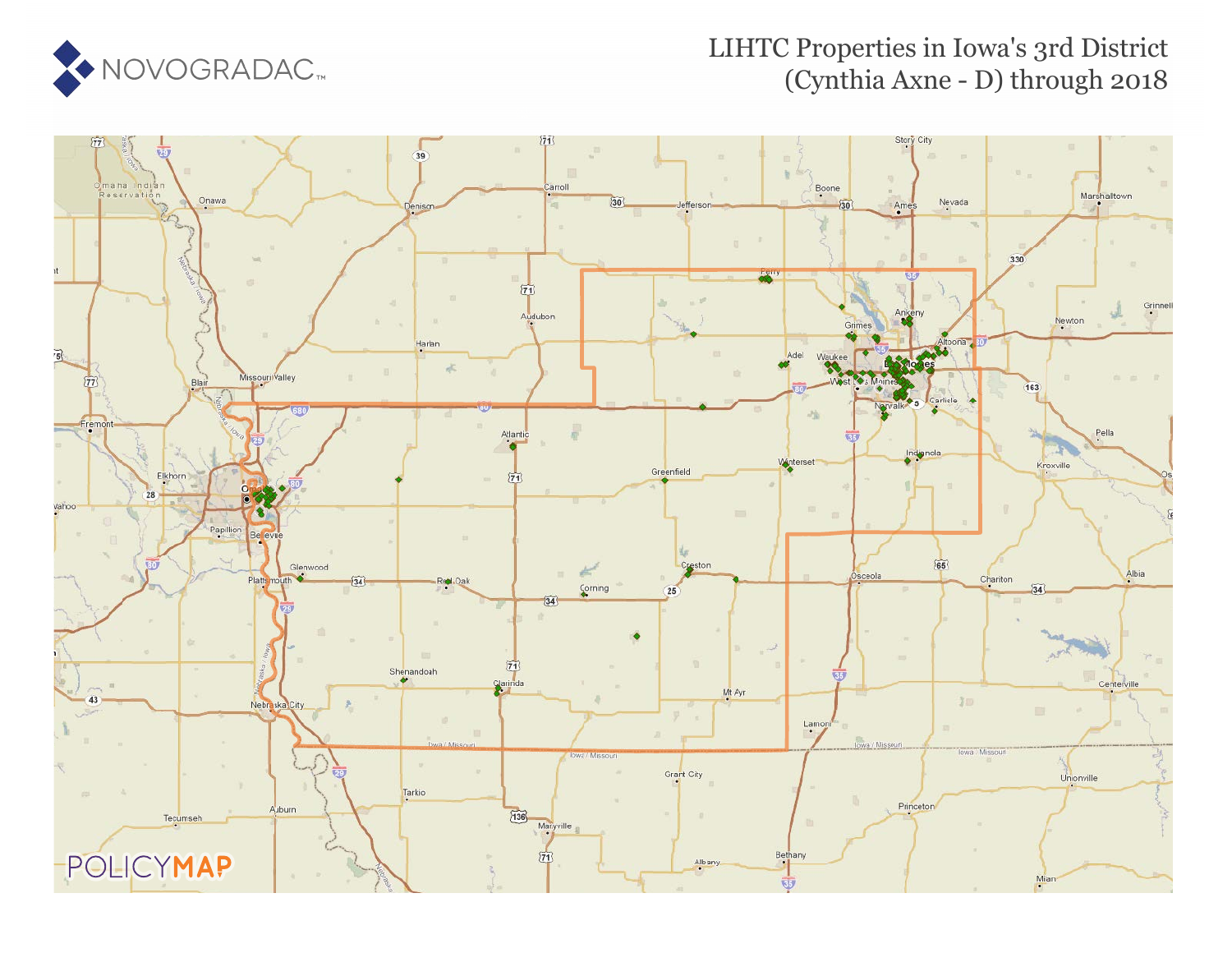

## LIHTC Properties in Iowa's 3rd District (Cynthia Axne - D) through 2018

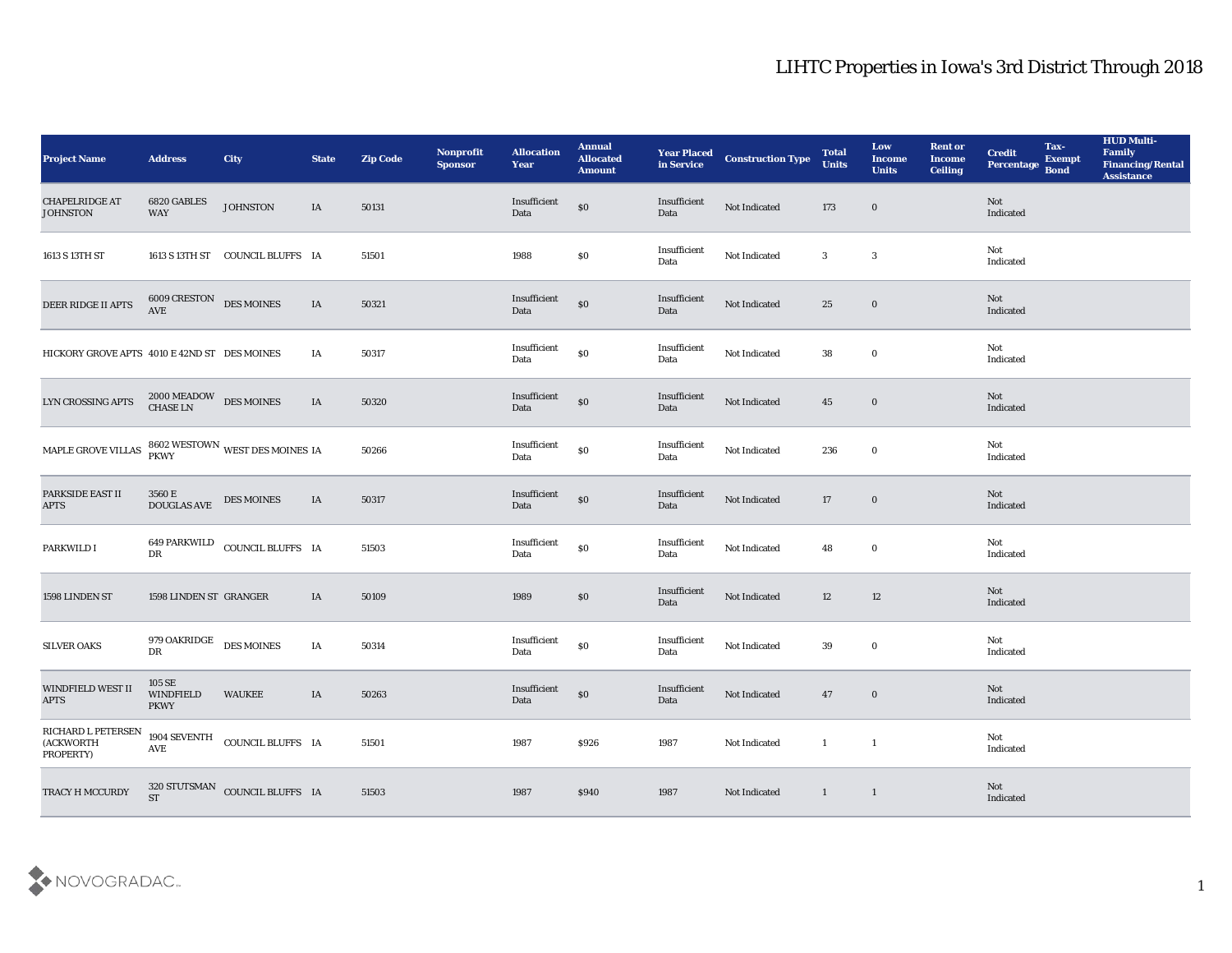| <b>Project Name</b>                          | <b>Address</b>                                                         | City                                                 | <b>State</b> | <b>Zip Code</b> | Nonprofit<br><b>Sponsor</b> | <b>Allocation</b><br><b>Year</b> | <b>Annual</b><br><b>Allocated</b><br><b>Amount</b> | <b>Year Placed<br/>in Service</b> | <b>Construction Type</b> | <b>Total</b><br><b>Units</b>             | Low<br><b>Income</b><br><b>Units</b> | <b>Rent or</b><br><b>Income</b><br><b>Ceiling</b> | <b>Credit</b><br>Percentage Bond | Tax-<br><b>Exempt</b> | <b>HUD Multi-</b><br>Family<br><b>Financing/Rental</b><br><b>Assistance</b> |
|----------------------------------------------|------------------------------------------------------------------------|------------------------------------------------------|--------------|-----------------|-----------------------------|----------------------------------|----------------------------------------------------|-----------------------------------|--------------------------|------------------------------------------|--------------------------------------|---------------------------------------------------|----------------------------------|-----------------------|-----------------------------------------------------------------------------|
| <b>CHAPELRIDGE AT</b><br><b>JOHNSTON</b>     | 6820 GABLES<br>WAY                                                     | <b>JOHNSTON</b>                                      | IA           | 50131           |                             | Insufficient<br>Data             | $\$0$                                              | Insufficient<br>Data              | Not Indicated            | 173                                      | $\bf{0}$                             |                                                   | Not<br>Indicated                 |                       |                                                                             |
| 1613 S 13TH ST                               |                                                                        | 1613 S 13TH ST COUNCIL BLUFFS IA                     |              | 51501           |                             | 1988                             | $\$0$                                              | Insufficient<br>Data              | Not Indicated            | 3                                        | $\overline{\mathbf{3}}$              |                                                   | Not<br>Indicated                 |                       |                                                                             |
| DEER RIDGE II APTS                           | $\begin{tabular}{ll} 6009 CRESTON & DES MOINES \\ AVE & \end{tabular}$ |                                                      | IA           | 50321           |                             | Insufficient<br>Data             | $\$0$                                              | Insufficient<br>Data              | Not Indicated            | 25                                       | $\bf{0}$                             |                                                   | <b>Not</b><br>Indicated          |                       |                                                                             |
| HICKORY GROVE APTS 4010 E 42ND ST DES MOINES |                                                                        |                                                      | IA           | 50317           |                             | Insufficient<br>Data             | $\$0$                                              | Insufficient<br>Data              | Not Indicated            | 38                                       | $\bf{0}$                             |                                                   | Not<br>Indicated                 |                       |                                                                             |
| LYN CROSSING APTS                            | $2000\,\mathrm{MEADOW}\quad$ DES MOINES CHASE LN                       |                                                      | IA           | 50320           |                             | Insufficient<br>Data             | $\$0$                                              | Insufficient<br>Data              | Not Indicated            | 45                                       | $\bf{0}$                             |                                                   | <b>Not</b><br>Indicated          |                       |                                                                             |
| MAPLE GROVE VILLAS                           |                                                                        | $8602\text{ WESTOWN}\xspace$ WEST DES MOINES IA PKWY |              | 50266           |                             | Insufficient<br>Data             | $\$0$                                              | Insufficient<br>Data              | Not Indicated            | 236                                      | $\bf{0}$                             |                                                   | Not<br>Indicated                 |                       |                                                                             |
| PARKSIDE EAST II<br><b>APTS</b>              | 3560 E<br>DOUGLAS AVE                                                  | <b>DES MOINES</b>                                    | IA           | 50317           |                             | Insufficient<br>Data             | $\$0$                                              | Insufficient<br>Data              | Not Indicated            | 17                                       | $\bf{0}$                             |                                                   | Not<br>Indicated                 |                       |                                                                             |
| PARKWILD I                                   | DR                                                                     | 649 PARKWILD COUNCIL BLUFFS IA                       |              | 51503           |                             | Insufficient<br>Data             | $\$0$                                              | Insufficient<br>Data              | Not Indicated            | 48                                       | $\bf{0}$                             |                                                   | Not<br>Indicated                 |                       |                                                                             |
| 1598 LINDEN ST                               | 1598 LINDEN ST GRANGER                                                 |                                                      | IA           | 50109           |                             | 1989                             | \$0                                                | Insufficient<br>Data              | Not Indicated            | 12                                       | 12                                   |                                                   | Not<br>Indicated                 |                       |                                                                             |
| <b>SILVER OAKS</b>                           | 979 OAKRIDGE<br>DR                                                     | <b>DES MOINES</b>                                    | IA           | 50314           |                             | Insufficient<br>Data             | $\$0$                                              | Insufficient<br>Data              | Not Indicated            | 39                                       | $\bf{0}$                             |                                                   | Not<br>Indicated                 |                       |                                                                             |
| WINDFIELD WEST II<br><b>APTS</b>             | 105 SE<br><b>WINDFIELD</b><br>PKWY                                     | <b>WAUKEE</b>                                        | IA           | 50263           |                             | Insufficient<br>Data             | $\$0$                                              | Insufficient<br>Data              | Not Indicated            | 47                                       | $\bf{0}$                             |                                                   | Not<br>Indicated                 |                       |                                                                             |
| RICHARD L PETERSEN<br>(ACKWORTH<br>PROPERTY) | $\operatorname{AVE}$                                                   | 1904 SEVENTH COUNCIL BLUFFS IA                       |              | 51501           |                             | 1987                             | \$926                                              | 1987                              | Not Indicated            | $\overline{\phantom{a}}$<br>$\mathbf{1}$ |                                      |                                                   | Not<br>Indicated                 |                       |                                                                             |
| TRACY H MCCURDY                              | <b>ST</b>                                                              | $320$ STUTSMAN $\,$ COUNCIL BLUFFS $\,$ IA           |              | 51503           |                             | 1987                             | \$940                                              | 1987                              | Not Indicated            | $\mathbf{1}$                             | $\mathbf{1}$                         |                                                   | Not<br>Indicated                 |                       |                                                                             |

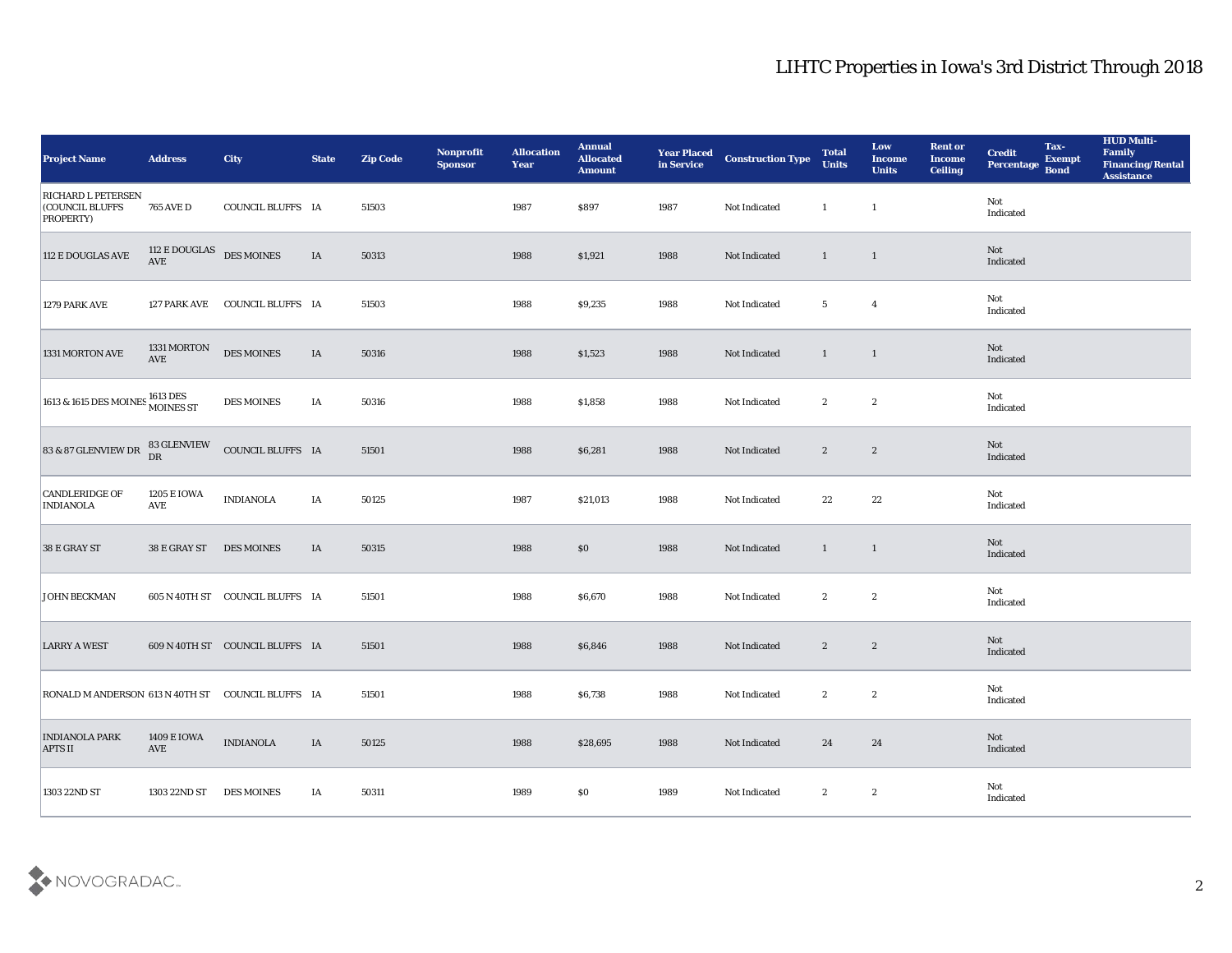| <b>Project Name</b>                                                    | <b>Address</b>                                     | City                            | <b>State</b> | <b>Zip Code</b> | Nonprofit<br><b>Sponsor</b> | <b>Allocation</b><br>Year | <b>Annual</b><br><b>Allocated</b><br><b>Amount</b> | <b>Year Placed</b><br>in Service | <b>Construction Type</b> | <b>Total</b><br><b>Units</b> | Low<br><b>Income</b><br><b>Units</b> | <b>Rent or</b><br><b>Income</b><br><b>Ceiling</b> | <b>Credit</b><br>Percentage           | Tax-<br><b>Exempt</b><br><b>Bond</b> | <b>HUD Multi-</b><br>Family<br><b>Financing/Rental</b><br><b>Assistance</b> |
|------------------------------------------------------------------------|----------------------------------------------------|---------------------------------|--------------|-----------------|-----------------------------|---------------------------|----------------------------------------------------|----------------------------------|--------------------------|------------------------------|--------------------------------------|---------------------------------------------------|---------------------------------------|--------------------------------------|-----------------------------------------------------------------------------|
| <b>RICHARD L PETERSEN</b><br><b>COUNCIL BLUFFS</b><br><b>PROPERTY)</b> | <b>765 AVE D</b>                                   | COUNCIL BLUFFS IA               |              | 51503           |                             | 1987                      | \$897                                              | 1987                             | Not Indicated            | $\mathbf{1}$                 | $\mathbf{1}$                         |                                                   | Not<br>Indicated                      |                                      |                                                                             |
| 112 E DOUGLAS AVE                                                      | $112\,\mathrm{E}\,\mathrm{DOUGLAS}$ DES MOINES AVE |                                 | IA           | 50313           |                             | 1988                      | \$1,921                                            | 1988                             | Not Indicated            | $\mathbf{1}$                 | $\mathbf{1}$                         |                                                   | Not<br>Indicated                      |                                      |                                                                             |
| <b>1279 PARK AVE</b>                                                   |                                                    | 127 PARK AVE COUNCIL BLUFFS IA  |              | 51503           |                             | 1988                      | \$9,235                                            | 1988                             | Not Indicated            | $5\phantom{.0}$              | $\overline{4}$                       |                                                   | Not<br>Indicated                      |                                      |                                                                             |
| 1331 MORTON AVE                                                        | 1331 MORTON<br>AVE                                 | <b>DES MOINES</b>               | $\rm IA$     | 50316           |                             | 1988                      | \$1,523                                            | 1988                             | Not Indicated            | $\mathbf{1}$                 | $\mathbf{1}$                         |                                                   | Not<br>Indicated                      |                                      |                                                                             |
| 1613 & 1615 DES MOINES 1613 DES<br>MOINES ST                           |                                                    | DES MOINES                      | IA           | 50316           |                             | 1988                      | \$1,858                                            | 1988                             | Not Indicated            | $\boldsymbol{2}$             | $\boldsymbol{2}$                     |                                                   | Not<br>Indicated                      |                                      |                                                                             |
| 83 & 87 GLENVIEW DR                                                    | 83 GLENVIEW<br>DR                                  | COUNCIL BLUFFS IA               |              | 51501           |                             | 1988                      | \$6,281                                            | 1988                             | Not Indicated            | $\boldsymbol{2}$             | $\boldsymbol{2}$                     |                                                   | Not<br>Indicated                      |                                      |                                                                             |
| <b>CANDLERIDGE OF</b><br><b>INDIANOLA</b>                              | 1205 E IOWA<br><b>AVE</b>                          | <b>INDIANOLA</b>                | IA           | 50125           |                             | 1987                      | \$21,013                                           | 1988                             | Not Indicated            | 22                           | 22                                   |                                                   | Not<br>Indicated                      |                                      |                                                                             |
| 38 E GRAY ST                                                           | 38 E GRAY ST                                       | <b>DES MOINES</b>               | IA           | 50315           |                             | 1988                      | \$0                                                | 1988                             | Not Indicated            | $\mathbf{1}$                 | $\mathbf{1}$                         |                                                   | Not<br>Indicated                      |                                      |                                                                             |
| <b>JOHN BECKMAN</b>                                                    |                                                    | 605 N 40TH ST COUNCIL BLUFFS IA |              | 51501           |                             | 1988                      | \$6,670                                            | 1988                             | Not Indicated            | $\boldsymbol{2}$             | $\boldsymbol{2}$                     |                                                   | Not<br>Indicated                      |                                      |                                                                             |
| <b>LARRY A WEST</b>                                                    |                                                    | 609 N 40TH ST COUNCIL BLUFFS IA |              | 51501           |                             | 1988                      | \$6,846                                            | 1988                             | Not Indicated            | $\boldsymbol{2}$             | $\mathbf{2}$                         |                                                   | Not<br>Indicated                      |                                      |                                                                             |
| RONALD M ANDERSON 613 N 40TH ST COUNCIL BLUFFS IA                      |                                                    |                                 |              | 51501           |                             | 1988                      | \$6,738                                            | 1988                             | Not Indicated            | $\mathbf{2}$                 | $\boldsymbol{2}$                     |                                                   | Not<br>Indicated                      |                                      |                                                                             |
| <b>INDIANOLA PARK</b><br><b>APTS II</b>                                | 1409 E IOWA<br>AVE                                 | <b>INDIANOLA</b>                | $\rm IA$     | 50125           |                             | 1988                      | \$28,695                                           | 1988                             | Not Indicated            | 24                           | 24                                   |                                                   | $\operatorname{\bf Not}$<br>Indicated |                                      |                                                                             |
| 1303 22ND ST                                                           | 1303 22ND ST                                       | <b>DES MOINES</b>               | IA           | 50311           |                             | 1989                      | \$0                                                | 1989                             | Not Indicated            | $\boldsymbol{2}$             | $\boldsymbol{2}$                     |                                                   | Not<br>Indicated                      |                                      |                                                                             |

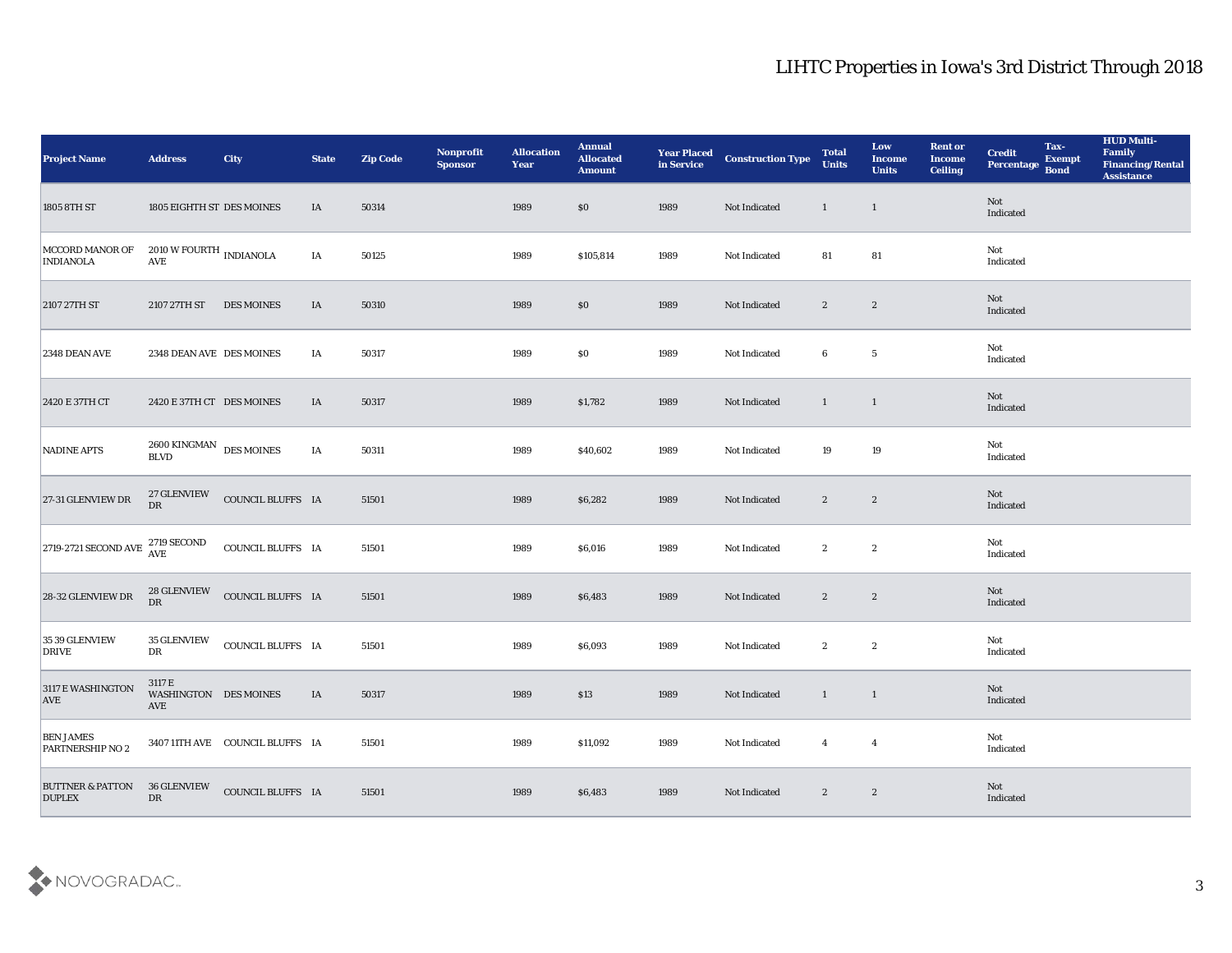| <b>Project Name</b>                          | <b>Address</b>                                   | <b>City</b>                     | <b>State</b> | <b>Zip Code</b> | Nonprofit<br><b>Sponsor</b> | <b>Allocation</b><br>Year | <b>Annual</b><br><b>Allocated</b><br><b>Amount</b> | <b>Year Placed<br/>in Service</b> | <b>Construction Type</b> | <b>Total</b><br><b>Units</b> | Low<br><b>Income</b><br><b>Units</b> | <b>Rent or</b><br><b>Income</b><br><b>Ceiling</b> | <b>Credit</b><br>Percentage | Tax-<br><b>Exempt</b><br><b>Bond</b> | <b>HUD Multi-</b><br>Family<br><b>Financing/Rental</b><br><b>Assistance</b> |
|----------------------------------------------|--------------------------------------------------|---------------------------------|--------------|-----------------|-----------------------------|---------------------------|----------------------------------------------------|-----------------------------------|--------------------------|------------------------------|--------------------------------------|---------------------------------------------------|-----------------------------|--------------------------------------|-----------------------------------------------------------------------------|
| 1805 8TH ST                                  | 1805 EIGHTH ST DES MOINES                        |                                 | IA           | 50314           |                             | 1989                      | $\$0$                                              | 1989                              | Not Indicated            | $\mathbf{1}$                 | $\overline{1}$                       |                                                   | Not<br>Indicated            |                                      |                                                                             |
| MCCORD MANOR OF<br><b>INDIANOLA</b>          | $2010$ W FOURTH $_{\rm INDIANOLA}$<br><b>AVE</b> |                                 | IA           | 50125           |                             | 1989                      | \$105,814                                          | 1989                              | Not Indicated            | 81                           | 81                                   |                                                   | Not<br>Indicated            |                                      |                                                                             |
| 2107 27TH ST                                 | 2107 27TH ST                                     | <b>DES MOINES</b>               | IA           | 50310           |                             | 1989                      | \$0                                                | 1989                              | Not Indicated            | $\mathbf{2}$                 | $\mathbf{2}$                         |                                                   | Not<br>Indicated            |                                      |                                                                             |
| 2348 DEAN AVE                                | 2348 DEAN AVE DES MOINES                         |                                 | IA           | 50317           |                             | 1989                      | \$0\$                                              | 1989                              | Not Indicated            | 6                            | $\sqrt{5}$                           |                                                   | Not<br>Indicated            |                                      |                                                                             |
| 2420 E 37TH CT                               | 2420 E 37TH CT DES MOINES                        |                                 | IA           | 50317           |                             | 1989                      | \$1,782                                            | 1989                              | Not Indicated            | $\mathbf{1}$                 | $\mathbf{1}$                         |                                                   | Not<br>Indicated            |                                      |                                                                             |
| NADINE APTS                                  | 2600 KINGMAN DES MOINES<br>$\operatorname{BLVD}$ |                                 | IA           | 50311           |                             | 1989                      | \$40,602                                           | 1989                              | Not Indicated            | 19                           | 19                                   |                                                   | Not<br>Indicated            |                                      |                                                                             |
| 27-31 GLENVIEW DR                            | 27 GLENVIEW<br>${\rm DR}$                        | COUNCIL BLUFFS IA               |              | 51501           |                             | 1989                      | \$6,282                                            | 1989                              | Not Indicated            | $\mathbf{2}$                 | $\mathbf{2}$                         |                                                   | Not<br>Indicated            |                                      |                                                                             |
| 2719-2721 SECOND AVE                         | $2719\,\mathrm{SECOND}$<br><b>AVE</b>            | COUNCIL BLUFFS IA               |              | 51501           |                             | 1989                      | \$6,016                                            | 1989                              | Not Indicated            | $\boldsymbol{2}$             | $\boldsymbol{2}$                     |                                                   | Not<br>Indicated            |                                      |                                                                             |
| 28-32 GLENVIEW DR                            | <b>28 GLENVIEW</b><br>DR                         | COUNCIL BLUFFS IA               |              | 51501           |                             | 1989                      | \$6,483                                            | 1989                              | Not Indicated            | $\mathbf{2}$                 | $\boldsymbol{2}$                     |                                                   | Not<br>Indicated            |                                      |                                                                             |
| 35 39 GLENVIEW<br><b>DRIVE</b>               | 35 GLENVIEW<br>DR                                | COUNCIL BLUFFS IA               |              | 51501           |                             | 1989                      | \$6,093                                            | 1989                              | Not Indicated            | $\boldsymbol{2}$             | $\boldsymbol{2}$                     |                                                   | Not<br>Indicated            |                                      |                                                                             |
| 3117 E WASHINGTON<br><b>AVE</b>              | 3117 E<br>WASHINGTON DES MOINES<br>AVE           |                                 | IA           | 50317           |                             | 1989                      | \$13                                               | 1989                              | Not Indicated            | $\mathbf{1}$                 | $\mathbf{1}$                         |                                                   | Not<br>Indicated            |                                      |                                                                             |
| <b>BEN JAMES</b><br>PARTNERSHIP NO 2         |                                                  | 3407 11TH AVE COUNCIL BLUFFS IA |              | 51501           |                             | 1989                      | \$11,092                                           | 1989                              | Not Indicated            | $\overline{4}$               | $\overline{\mathbf{4}}$              |                                                   | Not<br>Indicated            |                                      |                                                                             |
| <b>BUTTNER &amp; PATTON</b><br><b>DUPLEX</b> | 36 GLENVIEW<br>${\rm DR}$                        | COUNCIL BLUFFS IA               |              | 51501           |                             | 1989                      | \$6,483                                            | 1989                              | Not Indicated            | $\mathbf{2}$                 | $\boldsymbol{2}$                     |                                                   | Not<br>Indicated            |                                      |                                                                             |

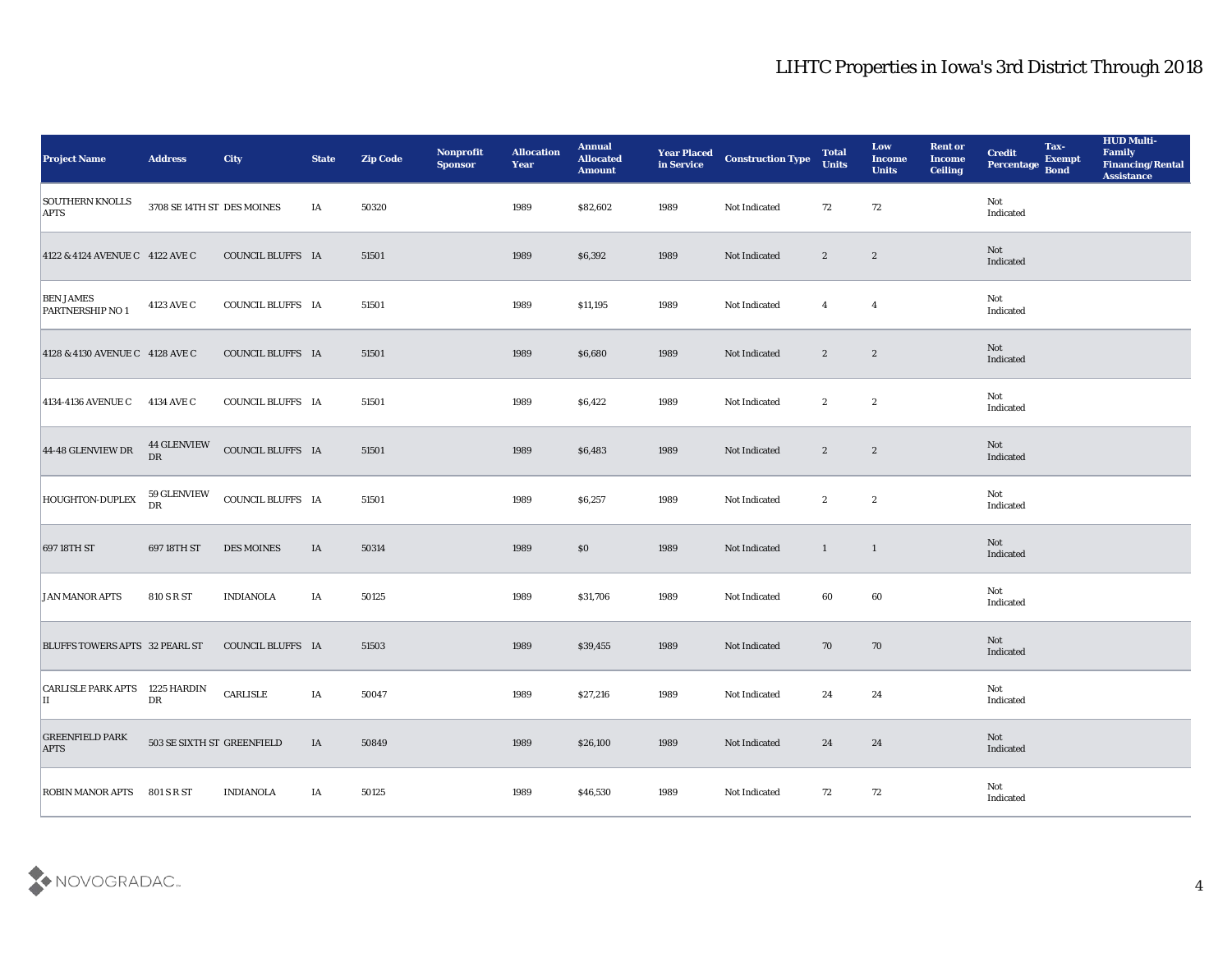| <b>Project Name</b>                         | <b>Address</b>             | City              | <b>State</b> | <b>Zip Code</b> | Nonprofit<br><b>Sponsor</b> | <b>Allocation</b><br><b>Year</b> | <b>Annual</b><br><b>Allocated</b><br><b>Amount</b> | <b>Year Placed</b><br>in Service | <b>Construction Type</b> | <b>Total</b><br><b>Units</b> | Low<br><b>Income</b><br><b>Units</b> | <b>Rent or</b><br><b>Income</b><br><b>Ceiling</b> | <b>Credit</b><br>Percentage | Tax-<br><b>Exempt</b><br><b>Bond</b> | <b>HUD Multi-</b><br>Family<br><b>Financing/Rental</b><br><b>Assistance</b> |
|---------------------------------------------|----------------------------|-------------------|--------------|-----------------|-----------------------------|----------------------------------|----------------------------------------------------|----------------------------------|--------------------------|------------------------------|--------------------------------------|---------------------------------------------------|-----------------------------|--------------------------------------|-----------------------------------------------------------------------------|
| <b>SOUTHERN KNOLLS</b><br><b>APTS</b>       | 3708 SE 14TH ST DES MOINES |                   | IA           | 50320           |                             | 1989                             | \$82,602                                           | 1989                             | Not Indicated            | 72                           | 72                                   |                                                   | Not<br>Indicated            |                                      |                                                                             |
| 4122 & 4124 AVENUE C 4122 AVE C             |                            | COUNCIL BLUFFS IA |              | 51501           |                             | 1989                             | \$6,392                                            | 1989                             | Not Indicated            | $\boldsymbol{2}$             | $\boldsymbol{2}$                     |                                                   | Not<br>Indicated            |                                      |                                                                             |
| <b>BEN JAMES</b><br><b>PARTNERSHIP NO 1</b> | 4123 AVE C                 | COUNCIL BLUFFS IA |              | 51501           |                             | 1989                             | \$11,195                                           | 1989                             | Not Indicated            | $\overline{4}$               | $\overline{4}$                       |                                                   | Not<br>Indicated            |                                      |                                                                             |
| 4128 & 4130 AVENUE C 4128 AVE C             |                            | COUNCIL BLUFFS IA |              | 51501           |                             | 1989                             | \$6,680                                            | 1989                             | Not Indicated            | $\boldsymbol{2}$             | $\boldsymbol{2}$                     |                                                   | Not<br>Indicated            |                                      |                                                                             |
| <b>4134-4136 AVENUE C</b>                   | 4134 AVE C                 | COUNCIL BLUFFS IA |              | 51501           |                             | 1989                             | \$6,422                                            | 1989                             | Not Indicated            | $\boldsymbol{2}$             | $\boldsymbol{2}$                     |                                                   | Not<br>Indicated            |                                      |                                                                             |
| 44-48 GLENVIEW DR                           | <b>44 GLENVIEW</b><br>DR   | COUNCIL BLUFFS IA |              | 51501           |                             | 1989                             | \$6,483                                            | 1989                             | Not Indicated            | $\boldsymbol{2}$             | $\boldsymbol{2}$                     |                                                   | Not<br>Indicated            |                                      |                                                                             |
| HOUGHTON-DUPLEX                             | 59 GLENVIEW<br>DR          | COUNCIL BLUFFS IA |              | 51501           |                             | 1989                             | \$6,257                                            | 1989                             | Not Indicated            | $\boldsymbol{2}$             | $\boldsymbol{2}$                     |                                                   | Not<br>Indicated            |                                      |                                                                             |
| 697 18TH ST                                 | 697 18TH ST                | <b>DES MOINES</b> | IA           | 50314           |                             | 1989                             | $\$0$                                              | 1989                             | Not Indicated            | $\mathbf{1}$                 | $\mathbf{1}$                         |                                                   | Not<br>Indicated            |                                      |                                                                             |
| JAN MANOR APTS                              | 810 S R ST                 | <b>INDIANOLA</b>  | IA           | 50125           |                             | 1989                             | \$31,706                                           | 1989                             | Not Indicated            | 60                           | 60                                   |                                                   | Not<br>Indicated            |                                      |                                                                             |
| <b>BLUFFS TOWERS APTS 32 PEARL ST</b>       |                            | COUNCIL BLUFFS IA |              | 51503           |                             | 1989                             | \$39,455                                           | 1989                             | Not Indicated            | 70                           | 70                                   |                                                   | Not<br>Indicated            |                                      |                                                                             |
| CARLISLE PARK APTS 1225 HARDIN<br>IІ        | DR                         | CARLISLE          | IA           | 50047           |                             | 1989                             | \$27,216                                           | 1989                             | Not Indicated            | 24                           | 24                                   |                                                   | Not<br>Indicated            |                                      |                                                                             |
| <b>GREENFIELD PARK</b><br><b>APTS</b>       | 503 SE SIXTH ST GREENFIELD |                   | IA           | 50849           |                             | 1989                             | \$26,100                                           | 1989                             | Not Indicated            | 24                           | 24                                   |                                                   | Not<br>Indicated            |                                      |                                                                             |
| <b>ROBIN MANOR APTS</b>                     | 801 S R ST                 | <b>INDIANOLA</b>  | IA           | 50125           |                             | 1989                             | \$46,530                                           | 1989                             | Not Indicated            | 72                           | $72\,$                               |                                                   | Not<br>Indicated            |                                      |                                                                             |

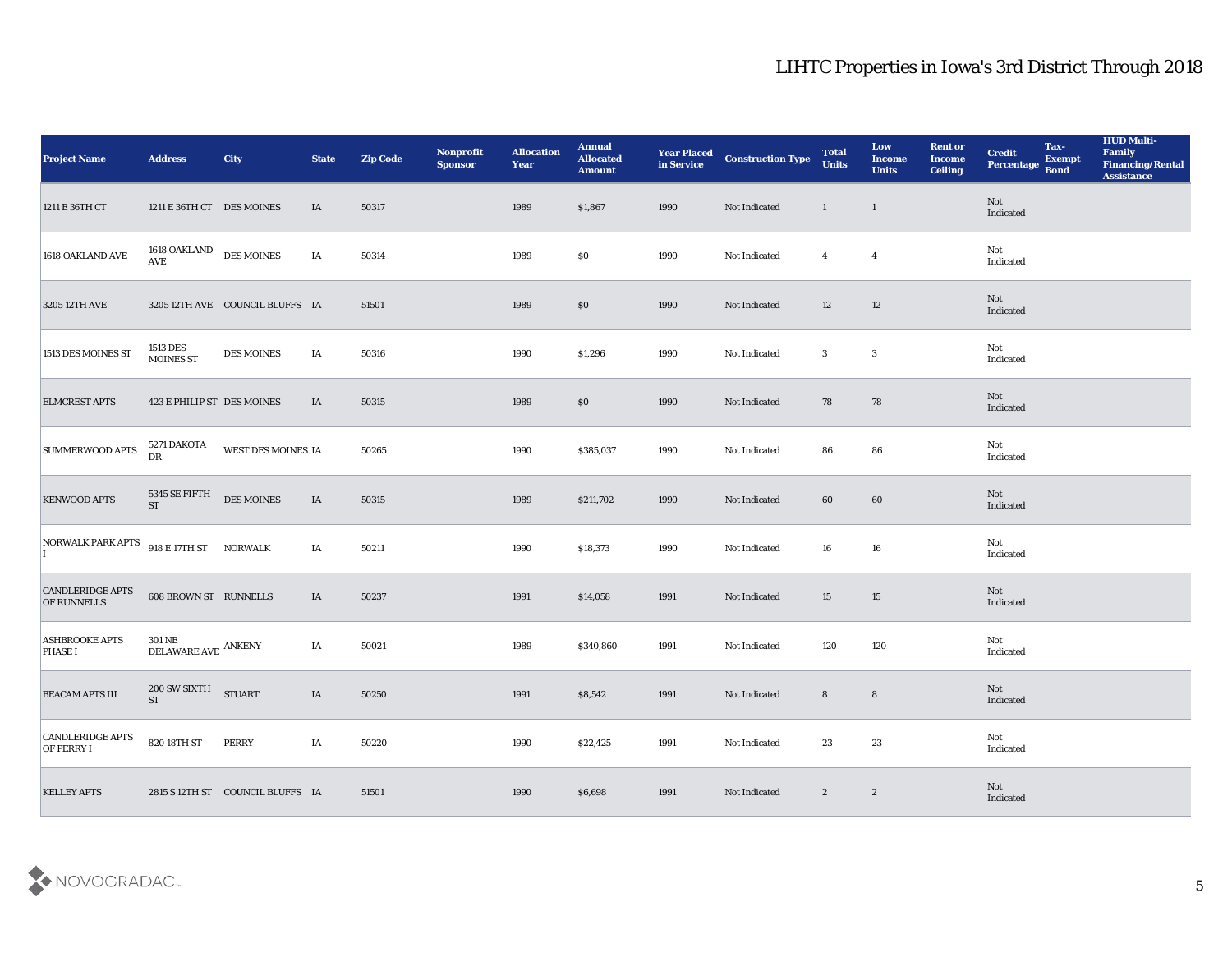| <b>Project Name</b>                           | <b>Address</b>                                  | City                             | <b>State</b> | <b>Zip Code</b> | Nonprofit<br><b>Sponsor</b> | <b>Allocation</b><br><b>Year</b> | <b>Annual</b><br><b>Allocated</b><br><b>Amount</b> | <b>Year Placed</b><br>in Service | <b>Construction Type</b> | <b>Total</b><br><b>Units</b> | Low<br><b>Income</b><br><b>Units</b> | <b>Rent or</b><br><b>Income</b><br><b>Ceiling</b> | <b>Credit</b><br>Percentage Bond | Tax-<br><b>Exempt</b> | <b>HUD Multi-</b><br>Family<br><b>Financing/Rental</b><br><b>Assistance</b> |
|-----------------------------------------------|-------------------------------------------------|----------------------------------|--------------|-----------------|-----------------------------|----------------------------------|----------------------------------------------------|----------------------------------|--------------------------|------------------------------|--------------------------------------|---------------------------------------------------|----------------------------------|-----------------------|-----------------------------------------------------------------------------|
| 1211 E 36TH CT                                | 1211 E 36TH CT DES MOINES                       |                                  | IA           | 50317           |                             | 1989                             | \$1,867                                            | 1990                             | Not Indicated            | $\mathbf{1}$                 | $\overline{1}$                       |                                                   | Not<br>Indicated                 |                       |                                                                             |
| 1618 OAKLAND AVE                              | 1618 OAKLAND DES MOINES<br>$\operatorname{AVE}$ |                                  | IA           | 50314           |                             | 1989                             | \$0                                                | 1990                             | Not Indicated            | $\overline{4}$               | $\overline{4}$                       |                                                   | Not<br>Indicated                 |                       |                                                                             |
| 3205 12TH AVE                                 |                                                 | 3205 12TH AVE COUNCIL BLUFFS IA  |              | 51501           |                             | 1989                             | $\$0$                                              | 1990                             | Not Indicated            | 12                           | 12                                   |                                                   | Not<br>Indicated                 |                       |                                                                             |
| 1513 DES MOINES ST                            | 1513 DES<br><b>MOINES ST</b>                    | <b>DES MOINES</b>                | IA           | 50316           |                             | 1990                             | \$1,296                                            | 1990                             | Not Indicated            | 3                            | $\mathbf{3}$                         |                                                   | Not<br>Indicated                 |                       |                                                                             |
| <b>ELMCREST APTS</b>                          | 423 E PHILIP ST DES MOINES                      |                                  | IA           | 50315           |                             | 1989                             | \$0                                                | 1990                             | Not Indicated            | 78                           | 78                                   |                                                   | Not<br>Indicated                 |                       |                                                                             |
| <b>SUMMERWOOD APTS</b>                        | 5271 DAKOTA<br>${\rm DR}$                       | WEST DES MOINES IA               |              | 50265           |                             | 1990                             | \$385,037                                          | 1990                             | Not Indicated            | 86                           | 86                                   |                                                   | Not<br>Indicated                 |                       |                                                                             |
| <b>KENWOOD APTS</b>                           | 5345 SE FIFTH<br>ST                             | <b>DES MOINES</b>                | IA           | 50315           |                             | 1989                             | \$211,702                                          | 1990                             | Not Indicated            | 60                           | 60                                   |                                                   | Not<br>Indicated                 |                       |                                                                             |
| NORWALK PARK APTS 918 E 17TH ST NORWALK       |                                                 |                                  | IA           | 50211           |                             | 1990                             | \$18,373                                           | 1990                             | Not Indicated            | 16                           | 16                                   |                                                   | Not<br>Indicated                 |                       |                                                                             |
| <b>CANDLERIDGE APTS</b><br><b>OF RUNNELLS</b> | <b>608 BROWN ST RUNNELLS</b>                    |                                  | IA           | 50237           |                             | 1991                             | \$14,058                                           | 1991                             | Not Indicated            | 15                           | 15                                   |                                                   | Not<br>Indicated                 |                       |                                                                             |
| <b>ASHBROOKE APTS</b><br><b>PHASE I</b>       | <b>301 NE</b><br>$\texttt{DELAWARE}$ ANKENY     |                                  | IA           | 50021           |                             | 1989                             | \$340,860                                          | 1991                             | Not Indicated            | 120                          | 120                                  |                                                   | Not<br>Indicated                 |                       |                                                                             |
| <b>BEACAM APTS III</b>                        | 200 SW SIXTH<br><b>ST</b>                       | <b>STUART</b>                    | IA           | 50250           |                             | 1991                             | \$8,542                                            | 1991                             | Not Indicated            | 8                            | $8\phantom{1}$                       |                                                   | Not<br>Indicated                 |                       |                                                                             |
| <b>CANDLERIDGE APTS</b><br><b>OF PERRY I</b>  | 820 18TH ST                                     | <b>PERRY</b>                     | IA           | 50220           |                             | 1990                             | \$22,425                                           | 1991                             | Not Indicated            | 23                           | $23\,$                               |                                                   | Not<br>Indicated                 |                       |                                                                             |
| <b>KELLEY APTS</b>                            |                                                 | 2815 S 12TH ST COUNCIL BLUFFS IA |              | 51501           |                             | 1990                             | \$6,698                                            | 1991                             | Not Indicated            | $\mathbf{2}$                 | $\boldsymbol{2}$                     |                                                   | <b>Not</b><br>Indicated          |                       |                                                                             |

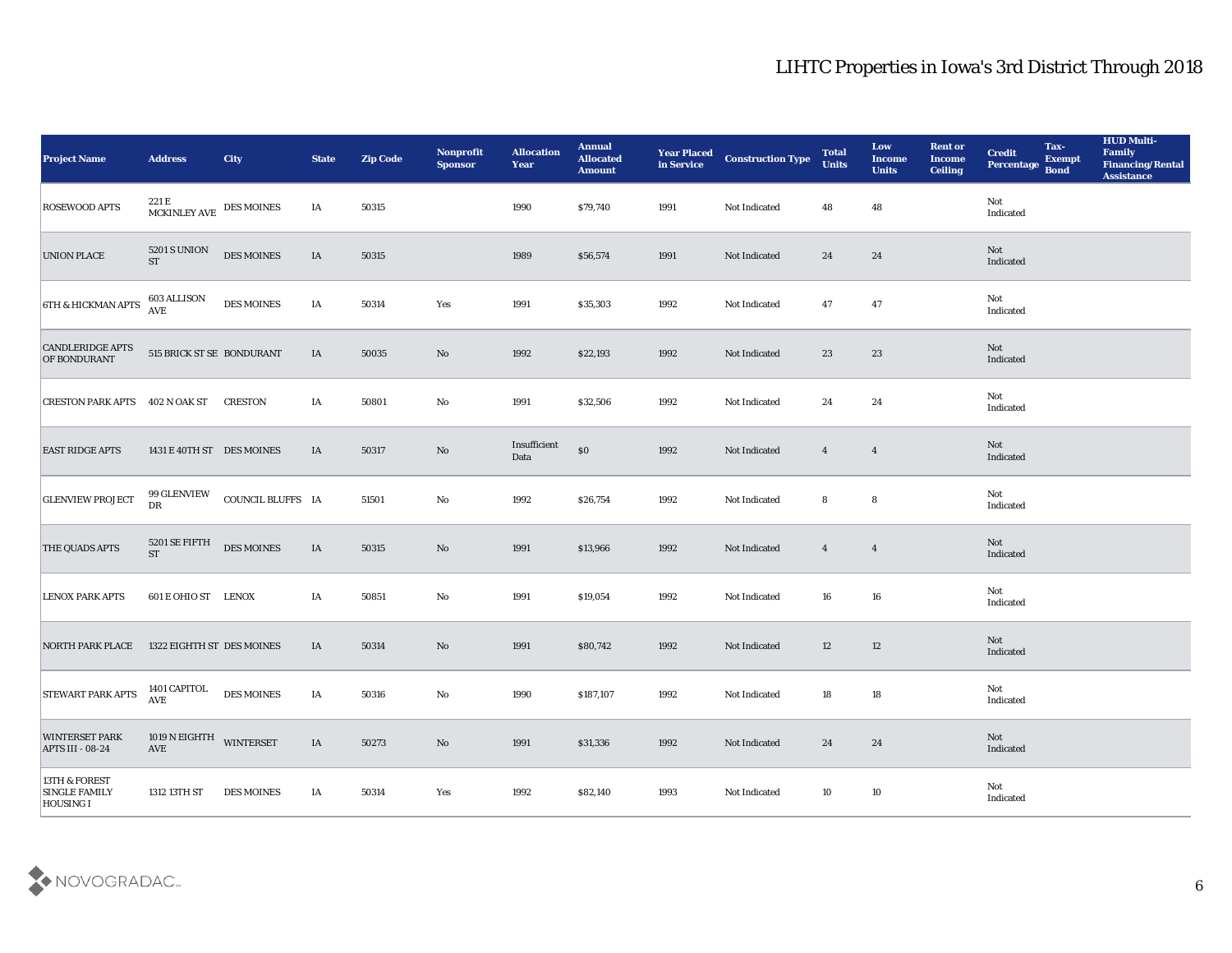| <b>Project Name</b>                                | <b>Address</b>                            | <b>City</b>       | <b>State</b> | <b>Zip Code</b> | Nonprofit<br>Sponsor   | <b>Allocation</b><br><b>Year</b> | <b>Annual</b><br><b>Allocated</b><br><b>Amount</b> | <b>Year Placed</b><br>in Service | <b>Construction Type</b> | <b>Total</b><br><b>Units</b> | Low<br><b>Income</b><br><b>Units</b> | <b>Rent or</b><br><b>Income</b><br><b>Ceiling</b> | <b>Credit</b><br>Percentage | Tax-<br><b>Exempt</b><br><b>Bond</b> | <b>HUD Multi-</b><br>Family<br><b>Financing/Rental</b><br><b>Assistance</b> |
|----------------------------------------------------|-------------------------------------------|-------------------|--------------|-----------------|------------------------|----------------------------------|----------------------------------------------------|----------------------------------|--------------------------|------------------------------|--------------------------------------|---------------------------------------------------|-----------------------------|--------------------------------------|-----------------------------------------------------------------------------|
| <b>ROSEWOOD APTS</b>                               | $221\,\mathrm{E}$ MCKINLEY AVE DES MOINES |                   | IA           | 50315           |                        | 1990                             | \$79,740                                           | 1991                             | Not Indicated            | 48                           | 48                                   |                                                   | Not<br>Indicated            |                                      |                                                                             |
| <b>UNION PLACE</b>                                 | 5201 S UNION<br><b>ST</b>                 | DES MOINES        | IA           | 50315           |                        | 1989                             | \$56,574                                           | 1991                             | Not Indicated            | 24                           | 24                                   |                                                   | Not<br>Indicated            |                                      |                                                                             |
| <b>6TH &amp; HICKMAN APTS</b>                      | 603 ALLISON<br><b>AVE</b>                 | <b>DES MOINES</b> | IA           | 50314           | Yes                    | 1991                             | \$35,303                                           | 1992                             | Not Indicated            | 47                           | 47                                   |                                                   | Not<br>Indicated            |                                      |                                                                             |
| <b>CANDLERIDGE APTS</b><br>OF BONDURANT            | 515 BRICK ST SE BONDURANT                 |                   | IA           | 50035           | No                     | 1992                             | \$22,193                                           | 1992                             | Not Indicated            | 23                           | 23                                   |                                                   | Not<br>Indicated            |                                      |                                                                             |
| CRESTON PARK APTS 402 N OAK ST                     |                                           | <b>CRESTON</b>    | IA           | 50801           | No                     | 1991                             | \$32,506                                           | 1992                             | Not Indicated            | 24                           | 24                                   |                                                   | Not<br>Indicated            |                                      |                                                                             |
| <b>EAST RIDGE APTS</b>                             | 1431 E 40TH ST DES MOINES                 |                   | IA           | 50317           | No                     | Insufficient<br>Data             | \$0                                                | 1992                             | Not Indicated            | $\overline{4}$               | $\overline{\mathbf{4}}$              |                                                   | Not<br>Indicated            |                                      |                                                                             |
| <b>GLENVIEW PROJECT</b>                            | 99 GLENVIEW<br>DR                         | COUNCIL BLUFFS IA |              | 51501           | No                     | 1992                             | \$26,754                                           | 1992                             | Not Indicated            | 8                            | 8                                    |                                                   | Not<br>Indicated            |                                      |                                                                             |
| THE QUADS APTS                                     | 5201 SE FIFTH<br><b>ST</b>                | <b>DES MOINES</b> | IA           | 50315           | No                     | 1991                             | \$13,966                                           | 1992                             | Not Indicated            | $\overline{4}$               | $\overline{4}$                       |                                                   | Not<br>Indicated            |                                      |                                                                             |
| <b>LENOX PARK APTS</b>                             | 601 E OHIO ST LENOX                       |                   | IA           | 50851           | $\mathbf{No}$          | 1991                             | \$19,054                                           | 1992                             | Not Indicated            | 16                           | 16                                   |                                                   | Not<br>Indicated            |                                      |                                                                             |
| <b>NORTH PARK PLACE</b>                            | 1322 EIGHTH ST DES MOINES                 |                   | IA           | 50314           | No                     | 1991                             | \$80,742                                           | 1992                             | Not Indicated            | 12                           | 12                                   |                                                   | Not<br>Indicated            |                                      |                                                                             |
| <b>STEWART PARK APTS</b>                           | 1401 CAPITOL<br><b>AVE</b>                | <b>DES MOINES</b> | IA           | 50316           | No                     | 1990                             | \$187,107                                          | 1992                             | Not Indicated            | 18                           | 18                                   |                                                   | Not<br>Indicated            |                                      |                                                                             |
| <b>WINTERSET PARK</b><br>APTS III - 08-24          | 1019 N EIGHTH WINTERSET<br>AVE            |                   | $\rm IA$     | 50273           | $\mathbf{N}\mathbf{o}$ | 1991                             | \$31,336                                           | 1992                             | Not Indicated            | 24                           | 24                                   |                                                   | Not<br>Indicated            |                                      |                                                                             |
| 13TH & FOREST<br><b>SINGLE FAMILY</b><br>HOUSING I | 1312 13TH ST                              | <b>DES MOINES</b> | IA           | 50314           | Yes                    | 1992                             | \$82,140                                           | 1993                             | Not Indicated            | 10                           | $10\,$                               |                                                   | Not<br>Indicated            |                                      |                                                                             |

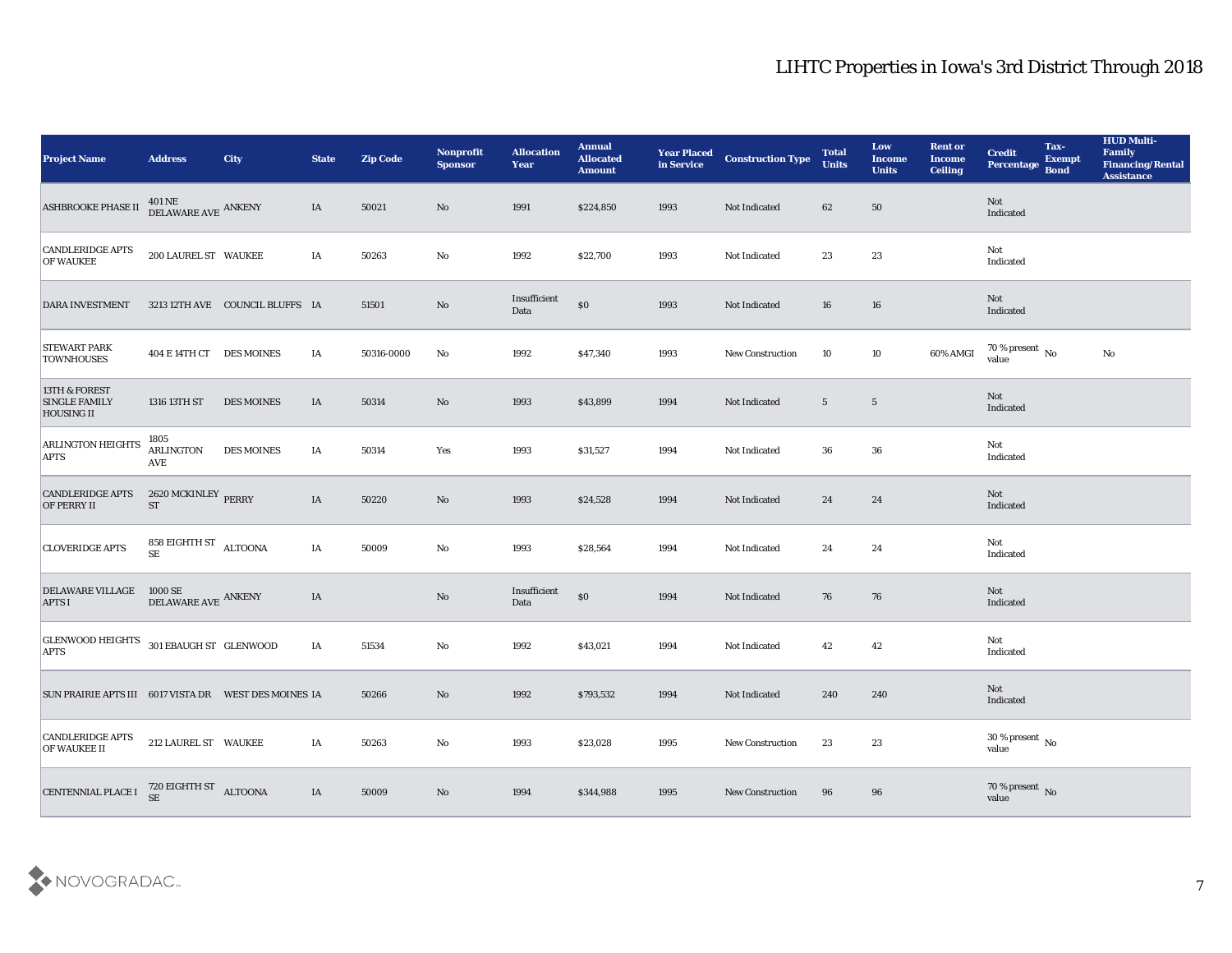| <b>Project Name</b>                                        | <b>Address</b>                                                    | <b>City</b>                     | <b>State</b> | <b>Zip Code</b> | Nonprofit<br><b>Sponsor</b> | <b>Allocation</b><br><b>Year</b> | <b>Annual</b><br><b>Allocated</b><br><b>Amount</b> | <b>Year Placed</b><br>in Service | <b>Construction Type</b> | <b>Total</b><br><b>Units</b> | Low<br><b>Income</b><br><b>Units</b> | <b>Rent or</b><br><b>Income</b><br>Ceiling | <b>Credit</b><br>Percentage    | Tax-<br><b>Exempt</b><br><b>Bond</b> | <b>HUD Multi-</b><br>Family<br><b>Financing/Rental</b><br><b>Assistance</b> |
|------------------------------------------------------------|-------------------------------------------------------------------|---------------------------------|--------------|-----------------|-----------------------------|----------------------------------|----------------------------------------------------|----------------------------------|--------------------------|------------------------------|--------------------------------------|--------------------------------------------|--------------------------------|--------------------------------------|-----------------------------------------------------------------------------|
| <b>ASHBROOKE PHASE II</b>                                  | $401\,\mathrm{NE}$ $$\,\mathrm{ANKENY}$$ DELAWARE AVE $\,$ ANKENY |                                 | IA           | 50021           | No                          | 1991                             | \$224,850                                          | 1993                             | Not Indicated            | 62                           | 50                                   |                                            | Not<br>Indicated               |                                      |                                                                             |
| CANDLERIDGE APTS<br><b>OF WAUKEE</b>                       | 200 LAUREL ST WAUKEE                                              |                                 | IA           | 50263           | No                          | 1992                             | \$22,700                                           | 1993                             | Not Indicated            | 23                           | 23                                   |                                            | Not<br>Indicated               |                                      |                                                                             |
| <b>DARA INVESTMENT</b>                                     |                                                                   | 3213 12TH AVE COUNCIL BLUFFS IA |              | 51501           | $\mathbf{N}\mathbf{o}$      | Insufficient<br>Data             | $\$0$                                              | 1993                             | Not Indicated            | 16                           | 16                                   |                                            | Not<br>Indicated               |                                      |                                                                             |
| <b>STEWART PARK</b><br><b>TOWNHOUSES</b>                   | 404 E 14TH CT DES MOINES                                          |                                 | IA           | 50316-0000      | No                          | 1992                             | \$47,340                                           | 1993                             | <b>New Construction</b>  | 10                           | 10                                   | 60% AMGI                                   | $70\,\%$ present $\,$ No value |                                      | $\mathbf{No}$                                                               |
| 13TH & FOREST<br><b>SINGLE FAMILY</b><br><b>HOUSING II</b> | 1316 13TH ST                                                      | <b>DES MOINES</b>               | IA           | 50314           | No                          | 1993                             | \$43,899                                           | 1994                             | Not Indicated            | $5\phantom{.0}$              | $\overline{5}$                       |                                            | Not<br>Indicated               |                                      |                                                                             |
| <b>ARLINGTON HEIGHTS</b><br><b>APTS</b>                    | 1805<br><b>ARLINGTON</b><br>AVE                                   | <b>DES MOINES</b>               | IA           | 50314           | Yes                         | 1993                             | \$31,527                                           | 1994                             | Not Indicated            | 36                           | 36                                   |                                            | Not<br>Indicated               |                                      |                                                                             |
| <b>CANDLERIDGE APTS</b><br><b>OF PERRY II</b>              | 2620 MCKINLEY $_{\rm PERRY}$<br><b>ST</b>                         |                                 | IA           | 50220           | $\mathbf{N}\mathbf{o}$      | 1993                             | \$24,528                                           | 1994                             | Not Indicated            | 24                           | 24                                   |                                            | Not<br>Indicated               |                                      |                                                                             |
| <b>CLOVERIDGE APTS</b>                                     | 858 EIGHTH ST $\rm ALTOONA$<br><b>SE</b>                          |                                 | IA           | 50009           | $\mathbf{No}$               | 1993                             | \$28,564                                           | 1994                             | Not Indicated            | 24                           | 24                                   |                                            | Not<br>Indicated               |                                      |                                                                             |
| <b>DELAWARE VILLAGE</b><br><b>APTS I</b>                   | $1000\,{\rm SE}$<br>DELAWARE AVE ANKENY                           |                                 | IA           |                 | $\mathbf{N}\mathbf{o}$      | Insufficient<br>Data             | $\$0$                                              | 1994                             | Not Indicated            | 76                           | 76                                   |                                            | Not<br>Indicated               |                                      |                                                                             |
| GLENWOOD HEIGHTS 301 EBAUGH ST GLENWOOD<br><b>APTS</b>     |                                                                   |                                 | IA           | 51534           | $\mathbf{No}$               | 1992                             | \$43,021                                           | 1994                             | Not Indicated            | 42                           | 42                                   |                                            | Not<br>Indicated               |                                      |                                                                             |
| SUN PRAIRIE APTS III 6017 VISTA DR    WEST DES MOINES IA   |                                                                   |                                 |              | 50266           | No                          | 1992                             | \$793,532                                          | 1994                             | Not Indicated            | 240                          | 240                                  |                                            | Not<br>Indicated               |                                      |                                                                             |
| <b>CANDLERIDGE APTS</b><br>OF WAUKEE II                    | 212 LAUREL ST WAUKEE                                              |                                 | IA           | 50263           | $\mathbf{No}$               | 1993                             | \$23,028                                           | 1995                             | <b>New Construction</b>  | 23                           | 23                                   |                                            | $30\,\%$ present $\,$ No value |                                      |                                                                             |
| <b>CENTENNIAL PLACE I</b>                                  | $720$ EIGHTH ST $$\rm ALTOONA$$                                   |                                 | $\rm IA$     | 50009           | $\mathbf {No}$              | 1994                             | \$344,988                                          | 1995                             | New Construction         | 96                           | 96                                   |                                            | $70\,\%$ present $\,$ No value |                                      |                                                                             |

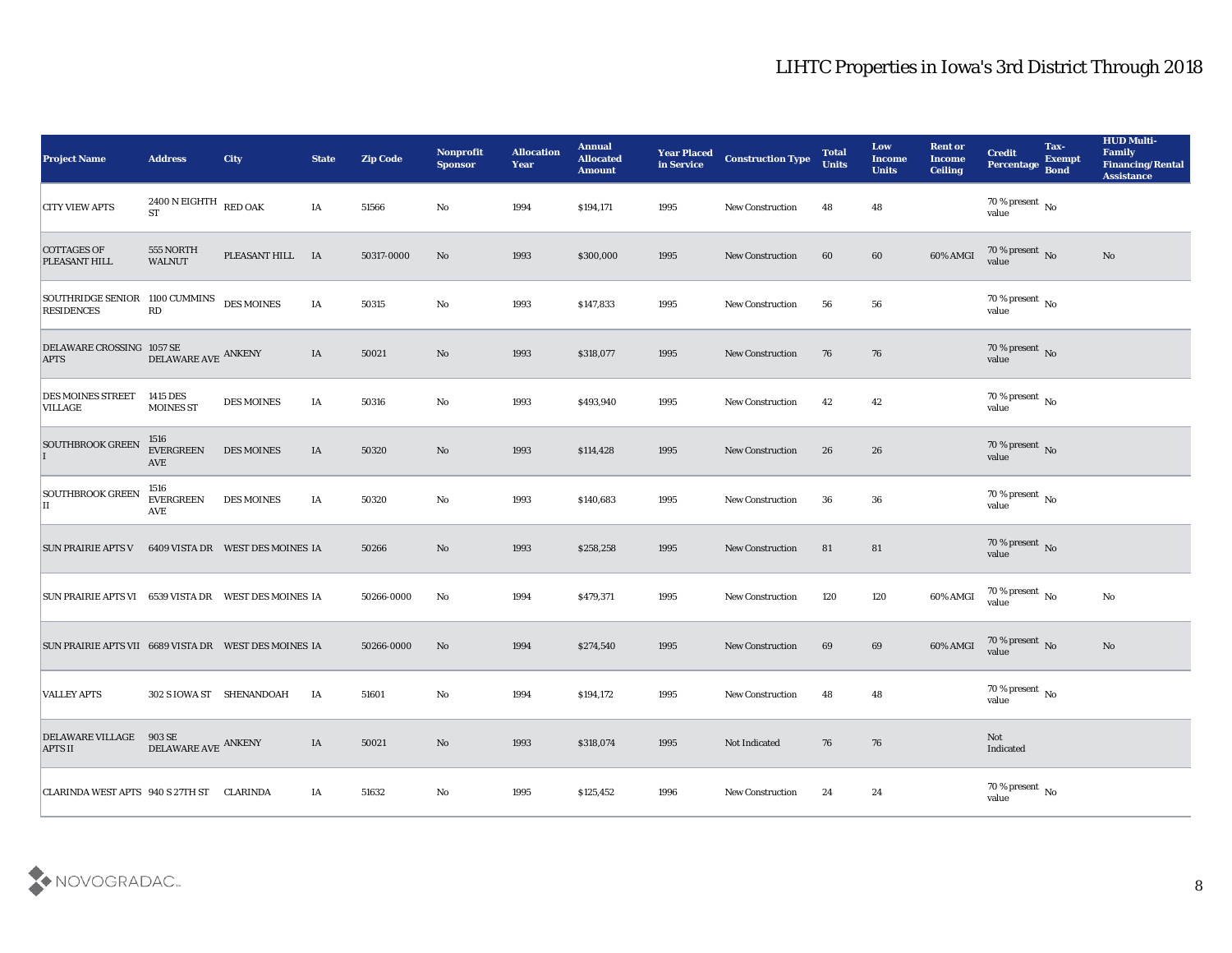| <b>Project Name</b>                                    | <b>Address</b>                         | <b>City</b>                      | <b>State</b> | <b>Zip Code</b> | Nonprofit<br><b>Sponsor</b> | <b>Allocation</b><br>Year | <b>Annual</b><br><b>Allocated</b><br><b>Amount</b> | <b>Year Placed</b><br>in Service | <b>Construction Type</b> | <b>Total</b><br><b>Units</b> | Low<br><b>Income</b><br><b>Units</b> | <b>Rent or</b><br><b>Income</b><br><b>Ceiling</b> | <b>Credit</b><br><b>Percentage</b> | Tax-<br><b>Exempt</b><br><b>Bond</b> | <b>HUD Multi-</b><br>Family<br><b>Financing/Rental</b><br><b>Assistance</b> |
|--------------------------------------------------------|----------------------------------------|----------------------------------|--------------|-----------------|-----------------------------|---------------------------|----------------------------------------------------|----------------------------------|--------------------------|------------------------------|--------------------------------------|---------------------------------------------------|------------------------------------|--------------------------------------|-----------------------------------------------------------------------------|
| <b>CITY VIEW APTS</b>                                  | $2400$ N EIGHTH RED OAK<br>ST          |                                  | IA           | 51566           | No                          | 1994                      | \$194,171                                          | 1995                             | <b>New Construction</b>  | 48                           | 48                                   |                                                   | $70$ % present $\,$ No $\,$ value  |                                      |                                                                             |
| <b>COTTAGES OF</b><br>PLEASANT HILL                    | 555 NORTH<br><b>WALNUT</b>             | PLEASANT HILL IA                 |              | 50317-0000      | No                          | 1993                      | \$300,000                                          | 1995                             | <b>New Construction</b>  | 60                           | 60                                   | 60% AMGI                                          | $70$ % present $\,$ No $\,$ value  |                                      | No                                                                          |
| SOUTHRIDGE SENIOR 1100 CUMMINS<br><b>RESIDENCES</b>    | RD                                     | <b>DES MOINES</b>                | IA           | 50315           | No                          | 1993                      | \$147,833                                          | 1995                             | New Construction         | 56                           | 56                                   |                                                   | $70\,\%$ present $\,$ No value     |                                      |                                                                             |
| DELAWARE CROSSING 1057 SE<br><b>APTS</b>               | DELAWARE AVE ANKENY                    |                                  | IA           | 50021           | No                          | 1993                      | \$318,077                                          | 1995                             | <b>New Construction</b>  | 76                           | 76                                   |                                                   | $70\,\%$ present $\,$ No value     |                                      |                                                                             |
| <b>DES MOINES STREET</b><br><b>VILLAGE</b>             | 1415 DES<br><b>MOINES ST</b>           | <b>DES MOINES</b>                | IA           | 50316           | No                          | 1993                      | \$493,940                                          | 1995                             | <b>New Construction</b>  | 42                           | 42                                   |                                                   | $70\,\%$ present $\,$ No value     |                                      |                                                                             |
| <b>SOUTHBROOK GREEN</b>                                | 1516<br><b>EVERGREEN</b><br><b>AVE</b> | <b>DES MOINES</b>                | IA           | 50320           | No                          | 1993                      | \$114,428                                          | 1995                             | <b>New Construction</b>  | 26                           | 26                                   |                                                   | $70\,\%$ present $\,$ No value     |                                      |                                                                             |
| <b>SOUTHBROOK GREEN</b><br>II                          | 1516<br><b>EVERGREEN</b><br><b>AVE</b> | <b>DES MOINES</b>                | IA           | 50320           | No                          | 1993                      | \$140,683                                          | 1995                             | <b>New Construction</b>  | 36                           | 36                                   |                                                   | $70\,\%$ present $\,$ No value     |                                      |                                                                             |
| <b>SUN PRAIRIE APTS V</b>                              |                                        | 6409 VISTA DR WEST DES MOINES IA |              | 50266           | No                          | 1993                      | \$258,258                                          | 1995                             | <b>New Construction</b>  | 81                           | 81                                   |                                                   | $70\,\%$ present $\,$ No value     |                                      |                                                                             |
| SUN PRAIRIE APTS VI 6539 VISTA DR WEST DES MOINES IA   |                                        |                                  |              | 50266-0000      | No                          | 1994                      | \$479,371                                          | 1995                             | <b>New Construction</b>  | 120                          | 120                                  | 60% AMGI                                          | $70\,\%$ present $\,$ No value     |                                      | No                                                                          |
| SUN PRAIRIE APTS VII 6689 VISTA DR  WEST DES MOINES IA |                                        |                                  |              | 50266-0000      | No                          | 1994                      | \$274,540                                          | 1995                             | <b>New Construction</b>  | 69                           | 69                                   | 60% AMGI                                          | $70$ % present $\,$ No $\,$ value  |                                      | No                                                                          |
| <b>VALLEY APTS</b>                                     | 302 S IOWA ST SHENANDOAH               |                                  | IA           | 51601           | No                          | 1994                      | \$194,172                                          | 1995                             | <b>New Construction</b>  | 48                           | 48                                   |                                                   | 70 % present $\,$ No $\,$<br>value |                                      |                                                                             |
| <b>DELAWARE VILLAGE</b><br><b>APTS II</b>              | $903$ SE $$\tt DELAWARE\,AVE\,$ ANKENY |                                  | IA           | 50021           | $\rm\thinspace No$          | 1993                      | \$318,074                                          | 1995                             | Not Indicated            | 76                           | 76                                   |                                                   | Not<br>Indicated                   |                                      |                                                                             |
| CLARINDA WEST APTS 940 S 27TH ST CLARINDA              |                                        |                                  | IA           | 51632           | ${\bf No}$                  | 1995                      | \$125,452                                          | 1996                             | <b>New Construction</b>  | 24                           | $\bf{24}$                            |                                                   | $70\,\%$ present $\,$ No value     |                                      |                                                                             |

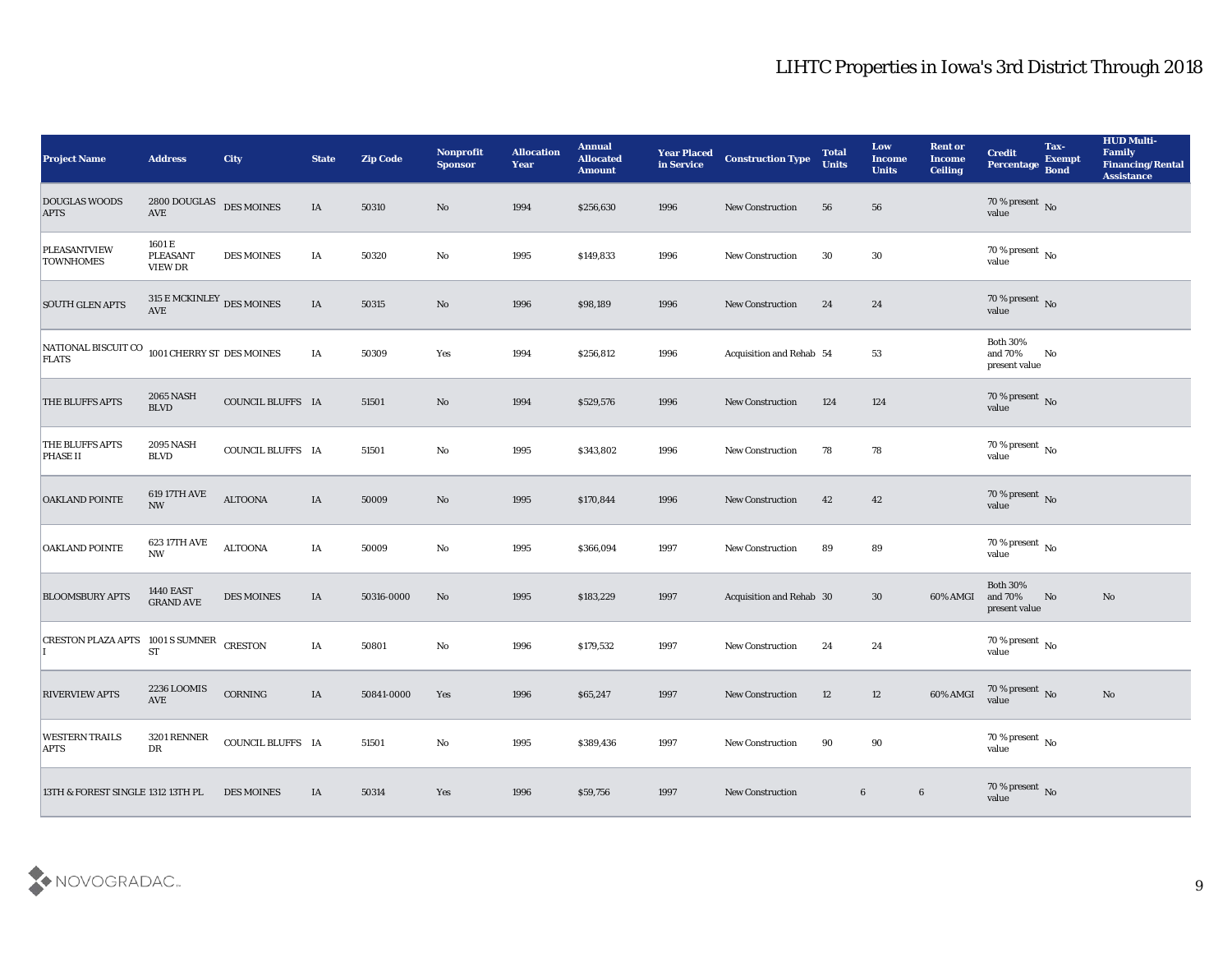| <b>Project Name</b>                      | <b>Address</b>                           | City              | <b>State</b> | <b>Zip Code</b> | Nonprofit<br><b>Sponsor</b> | <b>Allocation</b><br><b>Year</b> | <b>Annual</b><br><b>Allocated</b><br><b>Amount</b> | <b>Year Placed</b><br>in Service | <b>Construction Type</b>        | <b>Total</b><br><b>Units</b> | Low<br>Income<br><b>Units</b> | <b>Rent or</b><br><b>Income</b><br><b>Ceiling</b> | <b>Credit</b><br>Percentage                 | Tax-<br><b>Exempt</b><br><b>Bond</b> | <b>HUD Multi-</b><br>Family<br><b>Financing/Rental</b><br><b>Assistance</b> |
|------------------------------------------|------------------------------------------|-------------------|--------------|-----------------|-----------------------------|----------------------------------|----------------------------------------------------|----------------------------------|---------------------------------|------------------------------|-------------------------------|---------------------------------------------------|---------------------------------------------|--------------------------------------|-----------------------------------------------------------------------------|
| <b>DOUGLAS WOODS</b><br><b>APTS</b>      | 2800 DOUGLAS DES MOINES<br>AVE           |                   | IA           | 50310           | No                          | 1994                             | \$256,630                                          | 1996                             | <b>New Construction</b>         | 56                           | 56                            |                                                   | $70\,\%$ present $\,$ No $\,$ value         |                                      |                                                                             |
| <b>PLEASANTVIEW</b><br><b>TOWNHOMES</b>  | 1601 E<br><b>PLEASANT</b><br>VIEW DR     | <b>DES MOINES</b> | IA           | 50320           | No                          | 1995                             | \$149,833                                          | 1996                             | <b>New Construction</b>         | 30                           | 30                            |                                                   | 70 % present $\,$ No $\,$<br>value          |                                      |                                                                             |
| <b>SOUTH GLEN APTS</b>                   | 315 E MCKINLEY DES MOINES<br>AVE         |                   | IA           | 50315           | No                          | 1996                             | \$98,189                                           | 1996                             | New Construction                | 24                           | 24                            |                                                   | $70\,\%$ present $\,$ No value              |                                      |                                                                             |
| NATIONAL BISCUIT CO<br><b>FLATS</b>      | 1001 CHERRY ST DES MOINES                |                   | IA           | 50309           | Yes                         | 1994                             | \$256,812                                          | 1996                             | <b>Acquisition and Rehab 54</b> |                              | 53                            |                                                   | <b>Both 30%</b><br>and 70%<br>present value | No                                   |                                                                             |
| THE BLUFFS APTS                          | <b>2065 NASH</b><br><b>BLVD</b>          | COUNCIL BLUFFS IA |              | 51501           | No                          | 1994                             | \$529,576                                          | 1996                             | <b>New Construction</b>         | 124                          | 124                           |                                                   | $70\,\%$ present $\,$ No value              |                                      |                                                                             |
| THE BLUFFS APTS<br>PHASE II              | <b>2095 NASH</b><br><b>BLVD</b>          | COUNCIL BLUFFS IA |              | 51501           | No                          | 1995                             | \$343,802                                          | 1996                             | <b>New Construction</b>         | 78                           | 78                            |                                                   | $70$ % present $_{\rm{No}}$                 |                                      |                                                                             |
| <b>OAKLAND POINTE</b>                    | 619 17TH AVE<br>$\ensuremath{\text{NW}}$ | <b>ALTOONA</b>    | IA           | 50009           | No                          | 1995                             | \$170,844                                          | 1996                             | <b>New Construction</b>         | 42                           | 42                            |                                                   | $70\,\%$ present $\,$ No value              |                                      |                                                                             |
| <b>OAKLAND POINTE</b>                    | 623 17TH AVE<br>$\mathbf{N}\mathbf{W}$   | <b>ALTOONA</b>    | IA           | 50009           | No                          | 1995                             | \$366,094                                          | 1997                             | <b>New Construction</b>         | 89                           | 89                            |                                                   | 70 % present $\,$ No $\,$<br>value          |                                      |                                                                             |
| <b>BLOOMSBURY APTS</b>                   | <b>1440 EAST</b><br><b>GRAND AVE</b>     | <b>DES MOINES</b> | IA           | 50316-0000      | No                          | 1995                             | \$183,229                                          | 1997                             | Acquisition and Rehab 30        |                              | 30                            | 60% AMGI                                          | <b>Both 30%</b><br>and 70%<br>present value | No                                   | No                                                                          |
| CRESTON PLAZA APTS 1001 S SUMNER CRESTON | <b>ST</b>                                |                   | IA           | 50801           | $\mathbf{No}$               | 1996                             | \$179,532                                          | 1997                             | <b>New Construction</b>         | 24                           | 24                            |                                                   | $70\,\%$ present $\,$ No value              |                                      |                                                                             |
| <b>RIVERVIEW APTS</b>                    | 2236 LOOMIS<br><b>AVE</b>                | CORNING           | IA           | 50841-0000      | Yes                         | 1996                             | \$65,247                                           | 1997                             | <b>New Construction</b>         | 12                           | 12                            | 60% AMGI                                          | 70 % present No<br>value                    |                                      | No                                                                          |
| <b>WESTERN TRAILS</b><br><b>APTS</b>     | 3201 RENNER<br>${\rm DR}$                | COUNCIL BLUFFS IA |              | 51501           | $\rm\thinspace No$          | 1995                             | \$389,436                                          | 1997                             | New Construction                | 90                           | $90\,$                        |                                                   | 70 % present $\,$ No $\,$<br>value          |                                      |                                                                             |
| 13TH & FOREST SINGLE 1312 13TH PL        |                                          | <b>DES MOINES</b> | IA           | 50314           | Yes                         | 1996                             | \$59,756                                           | 1997                             | New Construction                | $6\phantom{.}6$              |                               | $\bf{6}$                                          | $70\,\%$ present $\,$ No value              |                                      |                                                                             |

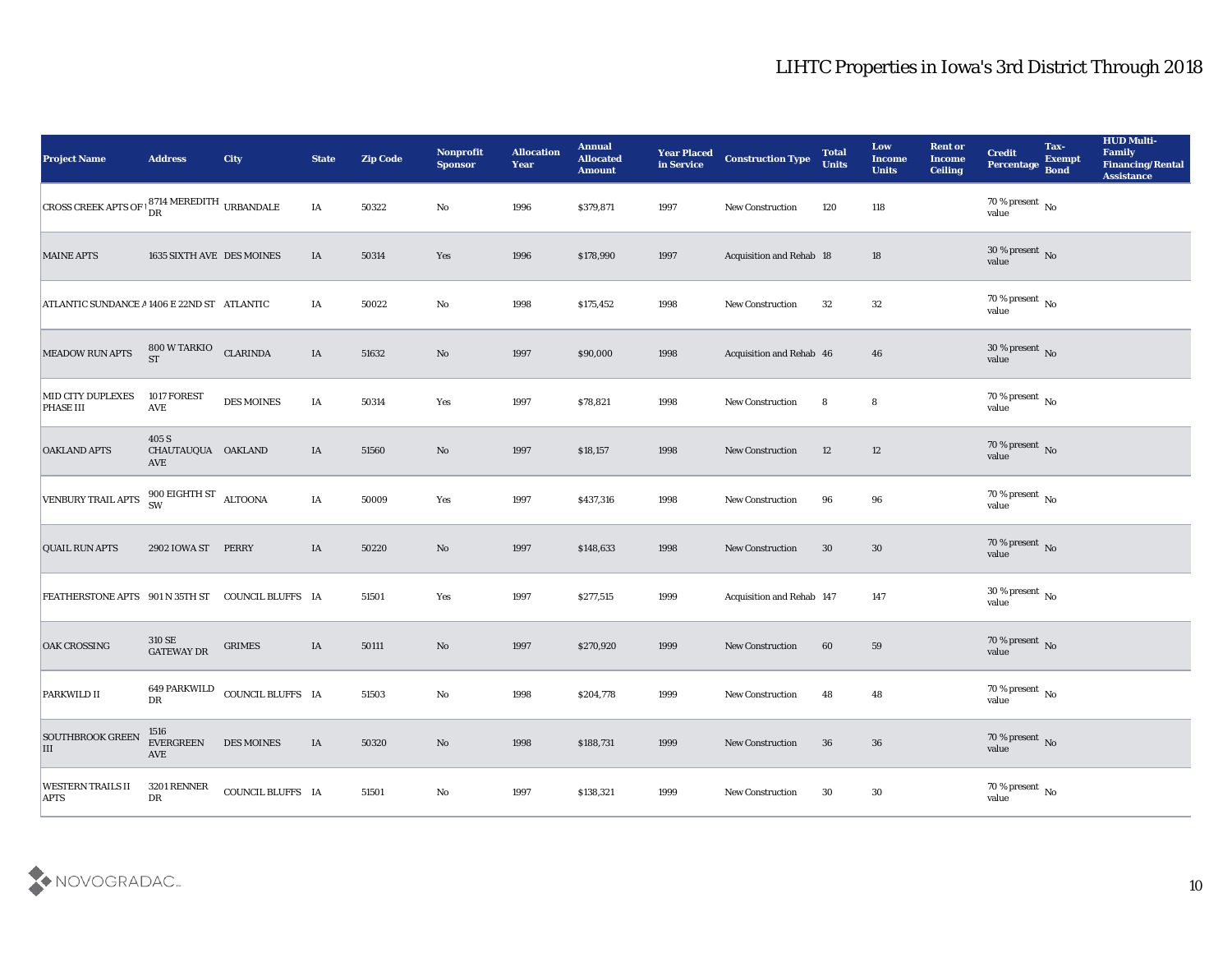| <b>Project Name</b>                                             | <b>Address</b>                                   | <b>City</b>                    | <b>State</b> | <b>Zip Code</b> | Nonprofit<br><b>Sponsor</b> | <b>Allocation</b><br><b>Year</b> | <b>Annual</b><br><b>Allocated</b><br><b>Amount</b> | <b>Year Placed</b><br>in Service | <b>Construction Type</b>  | <b>Total</b><br><b>Units</b> | Low<br><b>Income</b><br><b>Units</b> | <b>Rent or</b><br><b>Income</b><br><b>Ceiling</b> | <b>Credit</b><br>Percentage         | Tax-<br><b>Exempt</b><br><b>Bond</b> | <b>HUD Multi-</b><br>Family<br><b>Financing/Rental</b><br><b>Assistance</b> |
|-----------------------------------------------------------------|--------------------------------------------------|--------------------------------|--------------|-----------------|-----------------------------|----------------------------------|----------------------------------------------------|----------------------------------|---------------------------|------------------------------|--------------------------------------|---------------------------------------------------|-------------------------------------|--------------------------------------|-----------------------------------------------------------------------------|
| CROSS CREEK APTS OF $\frac{8714}{\text{DR}}$ MEREDITH URBANDALE |                                                  |                                | IA           | 50322           | No                          | 1996                             | \$379,871                                          | 1997                             | New Construction          | 120                          | 118                                  |                                                   | $70\,\% \,present \over value$      |                                      |                                                                             |
| <b>MAINE APTS</b>                                               | 1635 SIXTH AVE DES MOINES                        |                                | IA           | 50314           | Yes                         | 1996                             | \$178,990                                          | 1997                             | Acquisition and Rehab 18  |                              | 18                                   |                                                   | $30\,\%$ present $\,$ No value      |                                      |                                                                             |
| ATLANTIC SUNDANCE A 1406 E 22ND ST ATLANTIC                     |                                                  |                                | IA           | 50022           | No                          | 1998                             | \$175,452                                          | 1998                             | <b>New Construction</b>   | 32                           | 32                                   |                                                   | $70\,\%$ present $\,$ No value      |                                      |                                                                             |
| MEADOW RUN APTS                                                 | 800 W TARKIO<br><b>ST</b>                        | <b>CLARINDA</b>                | IA           | 51632           | No                          | 1997                             | \$90,000                                           | 1998                             | Acquisition and Rehab 46  |                              | 46                                   |                                                   | $30\,\%$ present $\,$ No value      |                                      |                                                                             |
| <b>MID CITY DUPLEXES</b><br><b>PHASE III</b>                    | 1017 FOREST<br>AVE                               | <b>DES MOINES</b>              | IA           | 50314           | Yes                         | 1997                             | \$78,821                                           | 1998                             | New Construction          | 8                            | 8                                    |                                                   | $70\,\%$ present $\,$ No value      |                                      |                                                                             |
| <b>OAKLAND APTS</b>                                             | 405 S<br>CHAUTAUQUA OAKLAND<br>AVE               |                                | IA           | 51560           | No                          | 1997                             | \$18,157                                           | 1998                             | <b>New Construction</b>   | 12                           | 12                                   |                                                   | $70\,\%$ present $\,$ No value      |                                      |                                                                             |
| VENBURY TRAIL APTS                                              | $900$ EIGHTH ST $$\sf ALTOONA$$                  |                                | IA           | 50009           | Yes                         | 1997                             | \$437,316                                          | 1998                             | <b>New Construction</b>   | 96                           | 96                                   |                                                   | $70\,\% \,present \over value$      |                                      |                                                                             |
| <b>QUAIL RUN APTS</b>                                           | 2902 IOWA ST                                     | PERRY                          | IA           | 50220           | No                          | 1997                             | \$148,633                                          | 1998                             | <b>New Construction</b>   | 30                           | 30                                   |                                                   | $70\,\%$ present $\,$ No $\,$ value |                                      |                                                                             |
| FEATHERSTONE APTS 901 N 35TH ST COUNCIL BLUFFS IA               |                                                  |                                |              | 51501           | Yes                         | 1997                             | \$277,515                                          | 1999                             | Acquisition and Rehab 147 |                              | 147                                  |                                                   | $30\,\%$ present $\,$ No value      |                                      |                                                                             |
| <b>OAK CROSSING</b>                                             | 310 SE<br>GATEWAY DR                             | <b>GRIMES</b>                  | $\rm IA$     | 50111           | No                          | 1997                             | \$270,920                                          | 1999                             | <b>New Construction</b>   | 60                           | 59                                   |                                                   | $70\,\%$ present $\,$ No value      |                                      |                                                                             |
| PARKWILD II                                                     | ${\rm D}{\rm R}$                                 | 649 PARKWILD COUNCIL BLUFFS IA |              | 51503           | No                          | 1998                             | \$204,778                                          | 1999                             | <b>New Construction</b>   | 48                           | 48                                   |                                                   | $70\,\% \,present \over value$      |                                      |                                                                             |
| <b>SOUTHBROOK GREEN</b><br>III                                  | 1516<br><b>EVERGREEN</b><br>$\operatorname{AVE}$ | <b>DES MOINES</b>              | IA           | 50320           | $\rm\thinspace No$          | 1998                             | \$188,731                                          | 1999                             | New Construction          | 36                           | $36\,$                               |                                                   | $70\,\%$ present $\,$ No value      |                                      |                                                                             |
| <b>WESTERN TRAILS II</b><br><b>APTS</b>                         | 3201 RENNER<br>${\rm D}{\rm R}$                  | COUNCIL BLUFFS IA              |              | 51501           | $\mathbf {No}$              | 1997                             | \$138,321                                          | 1999                             | New Construction          | 30                           | $30\,$                               |                                                   | $70\,\%$ present $\,$ No value      |                                      |                                                                             |

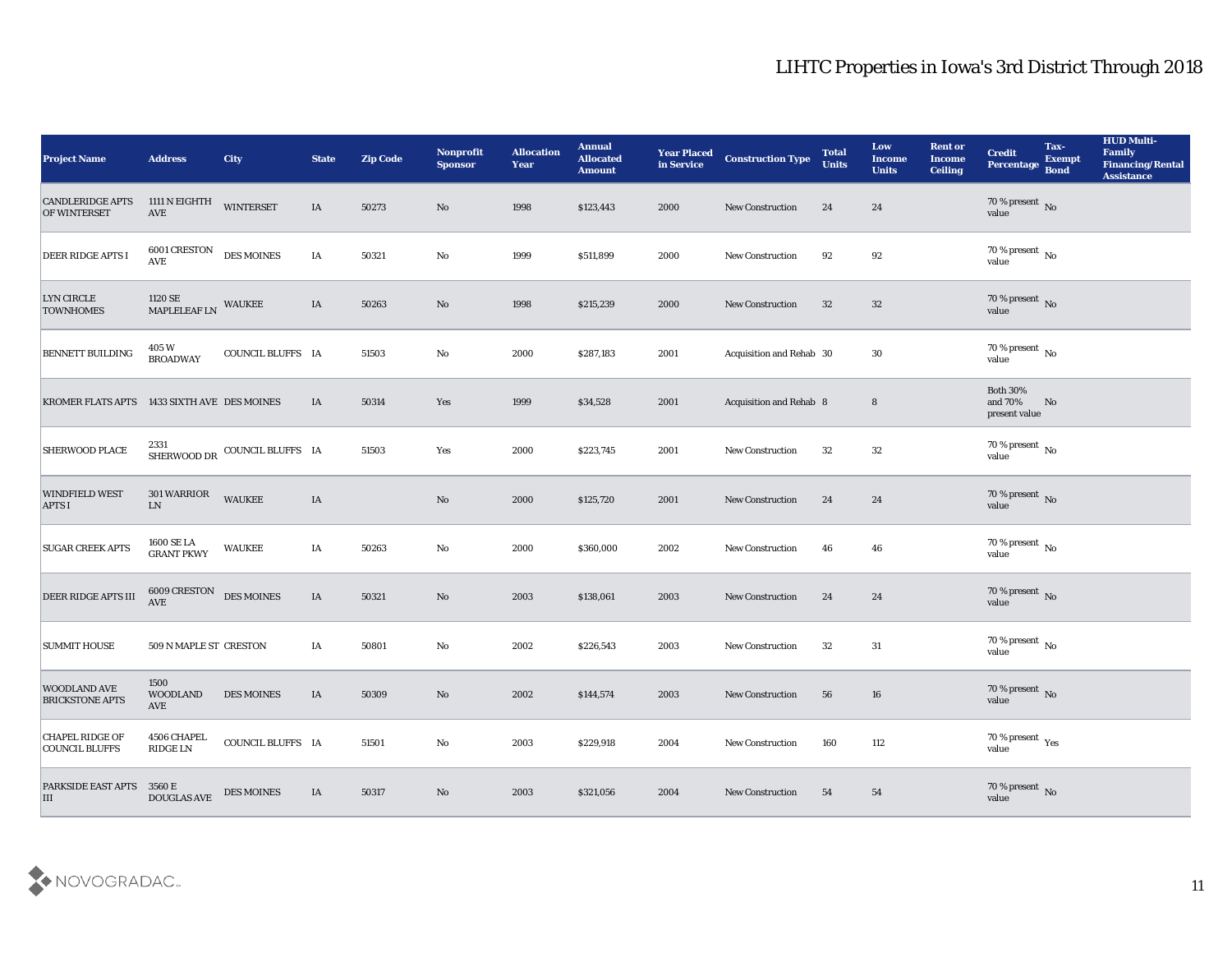| <b>Project Name</b>                             | <b>Address</b>                                        | City                          | <b>State</b> | <b>Zip Code</b> | Nonprofit<br><b>Sponsor</b> | <b>Allocation</b><br>Year | <b>Annual</b><br><b>Allocated</b><br><b>Amount</b> | <b>Year Placed</b><br>in Service | <b>Construction Type</b> | <b>Total</b><br><b>Units</b> | Low<br><b>Income</b><br><b>Units</b> | <b>Rent or</b><br><b>Income</b><br><b>Ceiling</b> | <b>Credit</b><br>Percentage                 | Tax-<br><b>Exempt</b><br><b>Bond</b> | <b>HUD Multi-</b><br>Family<br><b>Financing/Rental</b><br><b>Assistance</b> |
|-------------------------------------------------|-------------------------------------------------------|-------------------------------|--------------|-----------------|-----------------------------|---------------------------|----------------------------------------------------|----------------------------------|--------------------------|------------------------------|--------------------------------------|---------------------------------------------------|---------------------------------------------|--------------------------------------|-----------------------------------------------------------------------------|
| <b>CANDLERIDGE APTS</b><br><b>OF WINTERSET</b>  | 1111 N EIGHTH<br>AVE                                  | <b>WINTERSET</b>              | IA           | 50273           | No                          | 1998                      | \$123,443                                          | 2000                             | New Construction         | 24                           | 24                                   |                                                   | $70$ % present $\,$ No $\,$ value           |                                      |                                                                             |
| <b>DEER RIDGE APTS I</b>                        | 6001 CRESTON<br>AVE                                   | <b>DES MOINES</b>             | IA           | 50321           | No                          | 1999                      | \$511,899                                          | 2000                             | New Construction         | 92                           | 92                                   |                                                   | $70\,\%$ present $\,$ No value              |                                      |                                                                             |
| LYN CIRCLE<br><b>TOWNHOMES</b>                  | 1120 SE<br>MAPLELEAF LN                               | <b>WAUKEE</b>                 | IA           | 50263           | $\rm No$                    | 1998                      | \$215,239                                          | 2000                             | New Construction         | 32                           | 32                                   |                                                   | $70\,\%$ present $\,$ No value              |                                      |                                                                             |
| <b>BENNETT BUILDING</b>                         | 405 W<br><b>BROADWAY</b>                              | COUNCIL BLUFFS IA             |              | 51503           | $\mathbf{No}$               | 2000                      | \$287,183                                          | 2001                             | Acquisition and Rehab 30 |                              | 30                                   |                                                   | $70\,\%$ present $\,$ No value              |                                      |                                                                             |
| KROMER FLATS APTS 1433 SIXTH AVE DES MOINES     |                                                       |                               | IA           | 50314           | Yes                         | 1999                      | \$34,528                                           | 2001                             | Acquisition and Rehab 8  |                              | 8                                    |                                                   | <b>Both 30%</b><br>and 70%<br>present value | No                                   |                                                                             |
| <b>SHERWOOD PLACE</b>                           |                                                       | SHERWOOD DR COUNCIL BLUFFS IA |              | 51503           | Yes                         | 2000                      | \$223,745                                          | 2001                             | <b>New Construction</b>  | 32                           | 32                                   |                                                   | $70$ % present $\,$ No $\,$ value           |                                      |                                                                             |
| <b>WINDFIELD WEST</b><br><b>APTS I</b>          | 301 WARRIOR<br>${\rm LN}$                             | <b>WAUKEE</b>                 | IA           |                 | No                          | 2000                      | \$125,720                                          | 2001                             | New Construction         | 24                           | 24                                   |                                                   | $70\,\%$ present $\,$ No value              |                                      |                                                                             |
| <b>SUGAR CREEK APTS</b>                         | $1600\:\mathrm{SE}\:\mathrm{LA}$<br><b>GRANT PKWY</b> | <b>WAUKEE</b>                 | IA           | 50263           | No                          | 2000                      | \$360,000                                          | 2002                             | <b>New Construction</b>  | 46                           | 46                                   |                                                   | $70\,\%$ present $\,$ No value              |                                      |                                                                             |
| DEER RIDGE APTS III                             | 6009 CRESTON<br><b>AVE</b>                            | <b>DES MOINES</b>             | IA           | 50321           | No                          | 2003                      | \$138,061                                          | 2003                             | <b>New Construction</b>  | 24                           | 24                                   |                                                   | $70\,\%$ present $\,$ No value              |                                      |                                                                             |
| <b>SUMMIT HOUSE</b>                             | 509 N MAPLE ST CRESTON                                |                               | IA           | 50801           | $\mathbf {No}$              | 2002                      | \$226,543                                          | 2003                             | <b>New Construction</b>  | 32                           | 31                                   |                                                   | $70$ % present $\,$ No $\,$ value           |                                      |                                                                             |
| <b>WOODLAND AVE</b><br><b>BRICKSTONE APTS</b>   | 1500<br><b>WOODLAND</b><br>AVE                        | <b>DES MOINES</b>             | IA           | 50309           | No                          | 2002                      | \$144,574                                          | 2003                             | <b>New Construction</b>  | 56                           | 16                                   |                                                   | $70$ % present $\,$ No $\,$ value           |                                      |                                                                             |
| <b>CHAPEL RIDGE OF</b><br><b>COUNCIL BLUFFS</b> | 4506 CHAPEL<br>$\mathop{\rm RIDGE}\nolimits$ LN       | COUNCIL BLUFFS IA             |              | 51501           | $\rm\thinspace No$          | 2003                      | \$229,918                                          | 2004                             | New Construction         | 160                          | 112                                  |                                                   | $70\,\%$ present $\,\mathrm{Yes}$ value     |                                      |                                                                             |
| PARKSIDE EAST APTS 3560 E<br>$\vert$ III        | DOUGLAS AVE                                           | <b>DES MOINES</b>             | IA           | 50317           | $\rm\thinspace No$          | 2003                      | \$321,056                                          | 2004                             | New Construction         | 54                           | 54                                   |                                                   | $70\,\%$ present $\,$ No value              |                                      |                                                                             |

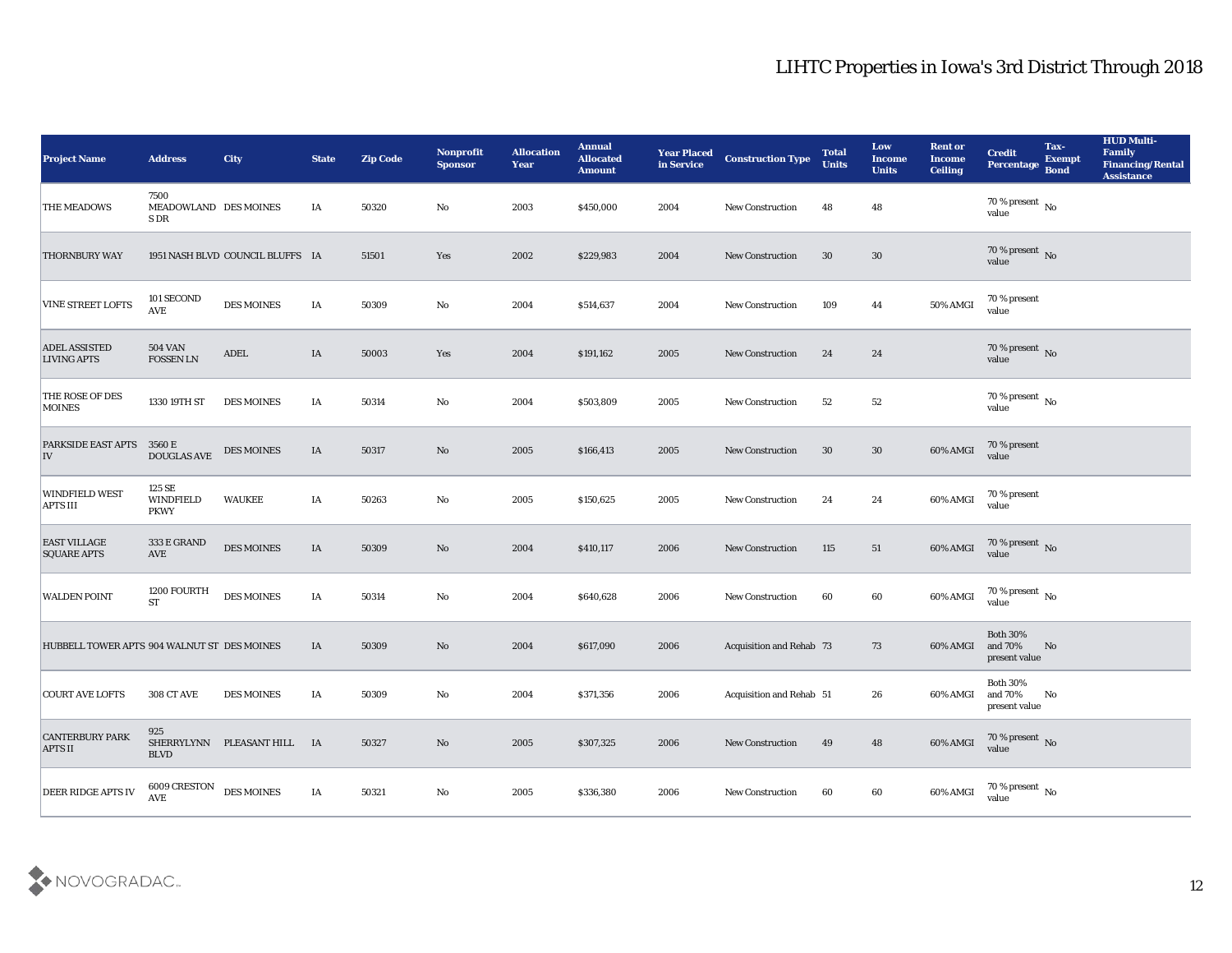| <b>Project Name</b>                         | <b>Address</b>                                  | <b>City</b>                      | <b>State</b> | <b>Zip Code</b> | Nonprofit<br><b>Sponsor</b> | <b>Allocation</b><br><b>Year</b> | <b>Annual</b><br><b>Allocated</b><br><b>Amount</b> | <b>Year Placed</b><br>in Service | <b>Construction Type</b>        | <b>Total</b><br><b>Units</b> | Low<br><b>Income</b><br><b>Units</b> | <b>Rent or</b><br><b>Income</b><br><b>Ceiling</b> | <b>Credit</b><br>Percentage                      | Tax-<br><b>Exempt</b><br><b>Bond</b> | <b>HUD Multi-</b><br>Family<br><b>Financing/Rental</b><br><b>Assistance</b> |
|---------------------------------------------|-------------------------------------------------|----------------------------------|--------------|-----------------|-----------------------------|----------------------------------|----------------------------------------------------|----------------------------------|---------------------------------|------------------------------|--------------------------------------|---------------------------------------------------|--------------------------------------------------|--------------------------------------|-----------------------------------------------------------------------------|
| THE MEADOWS                                 | 7500<br>MEADOWLAND DES MOINES<br>S DR           |                                  | IA           | 50320           | No                          | 2003                             | \$450,000                                          | 2004                             | <b>New Construction</b>         | 48                           | 48                                   |                                                   | 70 % present No<br>value                         |                                      |                                                                             |
| <b>THORNBURY WAY</b>                        |                                                 | 1951 NASH BLVD COUNCIL BLUFFS IA |              | 51501           | Yes                         | 2002                             | \$229,983                                          | 2004                             | <b>New Construction</b>         | 30                           | 30                                   |                                                   | $70\,\%$ present $\,$ No value                   |                                      |                                                                             |
| VINE STREET LOFTS                           | 101 SECOND<br>AVE                               | <b>DES MOINES</b>                | IA           | 50309           | No                          | 2004                             | \$514,637                                          | 2004                             | <b>New Construction</b>         | 109                          | 44                                   | 50% AMGI                                          | 70 % present<br>value                            |                                      |                                                                             |
| <b>ADEL ASSISTED</b><br><b>LIVING APTS</b>  | <b>504 VAN</b><br><b>FOSSEN LN</b>              | <b>ADEL</b>                      | IA           | 50003           | Yes                         | 2004                             | \$191,162                                          | 2005                             | <b>New Construction</b>         | 24                           | 24                                   |                                                   | $70$ % present $\,$ No $\,$ value                |                                      |                                                                             |
| THE ROSE OF DES<br><b>MOINES</b>            | 1330 19TH ST                                    | <b>DES MOINES</b>                | IA           | 50314           | No                          | 2004                             | \$503,809                                          | 2005                             | <b>New Construction</b>         | 52                           | 52                                   |                                                   | $70\,\% \,present \over value$                   |                                      |                                                                             |
| <b>PARKSIDE EAST APTS</b><br> IV            | 3560 E<br><b>DOUGLAS AVE</b>                    | <b>DES MOINES</b>                | IA           | 50317           | No                          | 2005                             | \$166,413                                          | 2005                             | <b>New Construction</b>         | 30                           | 30                                   | 60% AMGI                                          | 70 % present<br>value                            |                                      |                                                                             |
| <b>WINDFIELD WEST</b><br><b>APTS III</b>    | 125 SE<br><b>WINDFIELD</b><br><b>PKWY</b>       | <b>WAUKEE</b>                    | IA           | 50263           | No                          | 2005                             | \$150,625                                          | 2005                             | <b>New Construction</b>         | 24                           | 24                                   | 60% AMGI                                          | 70 % present<br>value                            |                                      |                                                                             |
| <b>EAST VILLAGE</b><br><b>SQUARE APTS</b>   | 333 E GRAND<br>AVE                              | <b>DES MOINES</b>                | IA           | 50309           | No                          | 2004                             | \$410,117                                          | 2006                             | <b>New Construction</b>         | 115                          | 51                                   | 60% AMGI                                          | 70 % present No<br>value                         |                                      |                                                                             |
| <b>WALDEN POINT</b>                         | 1200 FOURTH<br><b>ST</b>                        | <b>DES MOINES</b>                | IA           | 50314           | No                          | 2004                             | \$640,628                                          | 2006                             | <b>New Construction</b>         | 60                           | 60                                   | 60% AMGI                                          | 70 % present $\,$ No $\,$<br>value               |                                      |                                                                             |
| HUBBELL TOWER APTS 904 WALNUT ST DES MOINES |                                                 |                                  | IA           | 50309           | No                          | 2004                             | \$617,090                                          | 2006                             | <b>Acquisition and Rehab 73</b> |                              | 73                                   | 60% AMGI                                          | <b>Both 30%</b><br>and 70%<br>present value      | No                                   |                                                                             |
| <b>COURT AVE LOFTS</b>                      | <b>308 CT AVE</b>                               | <b>DES MOINES</b>                | IA           | 50309           | No                          | 2004                             | \$371,356                                          | 2006                             | Acquisition and Rehab 51        |                              | 26                                   | 60% AMGI                                          | <b>Both 30%</b><br>and 70%<br>$\,$ present value | No                                   |                                                                             |
| <b>CANTERBURY PARK</b><br><b>APTS II</b>    | 925<br><b>BLVD</b>                              | SHERRYLYNN PLEASANT HILL IA      |              | 50327           | $\rm\thinspace No$          | 2005                             | $\$307,\!325$                                      | 2006                             | New Construction                | 49                           | 48                                   | 60% AMGI                                          | $70\,\%$ present $\,$ No value                   |                                      |                                                                             |
| DEER RIDGE APTS IV                          | 6009 CRESTON DES MOINES<br>$\operatorname{AVE}$ |                                  | IA           | 50321           | $\mathbf {No}$              | 2005                             | \$336,380                                          | 2006                             | <b>New Construction</b>         | 60                           | $\bf{60}$                            | 60% AMGI                                          | $70\,\%$ present $\,$ No value                   |                                      |                                                                             |

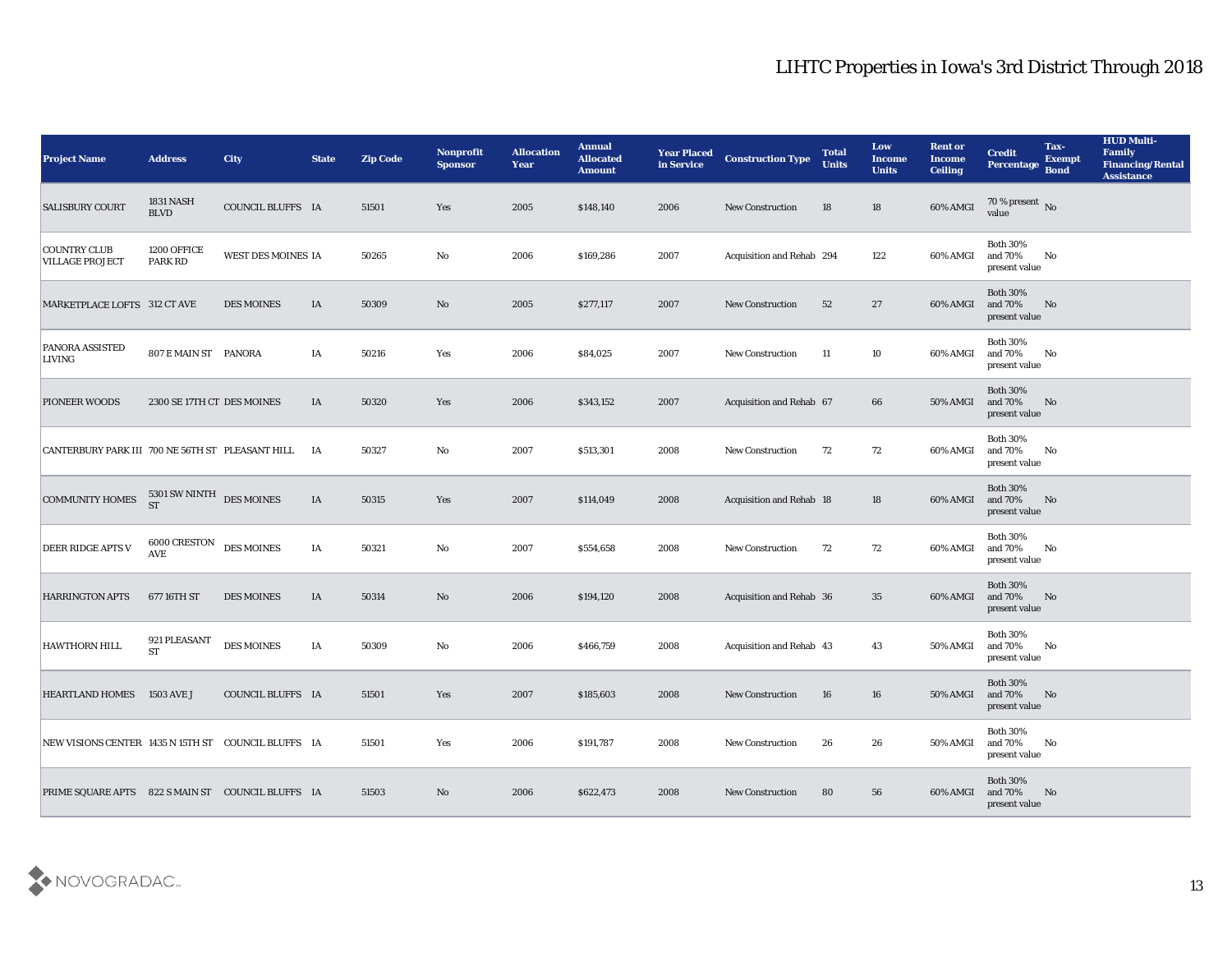| <b>Project Name</b>                                 | <b>Address</b>                           | <b>City</b>        | <b>State</b> | <b>Zip Code</b> | Nonprofit<br><b>Sponsor</b> | <b>Allocation</b><br><b>Year</b> | <b>Annual</b><br><b>Allocated</b><br><b>Amount</b> | <b>Year Placed</b><br>in Service | <b>Construction Type</b>  | <b>Total</b><br><b>Units</b> | Low<br><b>Income</b><br><b>Units</b> | <b>Rent or</b><br>Income<br><b>Ceiling</b> | <b>Credit</b><br>Percentage                 | Tax-<br><b>Exempt</b><br><b>Bond</b> | <b>HUD Multi-</b><br>Family<br><b>Financing/Rental</b><br><b>Assistance</b> |
|-----------------------------------------------------|------------------------------------------|--------------------|--------------|-----------------|-----------------------------|----------------------------------|----------------------------------------------------|----------------------------------|---------------------------|------------------------------|--------------------------------------|--------------------------------------------|---------------------------------------------|--------------------------------------|-----------------------------------------------------------------------------|
| <b>SALISBURY COURT</b>                              | <b>1831 NASH</b><br><b>BLVD</b>          | COUNCIL BLUFFS IA  |              | 51501           | Yes                         | 2005                             | \$148,140                                          | 2006                             | <b>New Construction</b>   | 18                           | 18                                   | 60% AMGI                                   | $70\,\%$ present $\,$ No $\,$ value         |                                      |                                                                             |
| <b>COUNTRY CLUB</b><br><b>VILLAGE PROJECT</b>       | 1200 OFFICE<br>PARK RD                   | WEST DES MOINES IA |              | 50265           | No                          | 2006                             | \$169,286                                          | 2007                             | Acquisition and Rehab 294 |                              | 122                                  | 60% AMGI                                   | <b>Both 30%</b><br>and 70%<br>present value | No                                   |                                                                             |
| MARKETPLACE LOFTS 312 CT AVE                        |                                          | <b>DES MOINES</b>  | IA           | 50309           | No                          | 2005                             | \$277,117                                          | 2007                             | <b>New Construction</b>   | 52                           | 27                                   | 60% AMGI                                   | <b>Both 30%</b><br>and 70%<br>present value | No                                   |                                                                             |
| PANORA ASSISTED<br>LIVING                           | 807 E MAIN ST PANORA                     |                    | IA           | 50216           | Yes                         | 2006                             | \$84,025                                           | 2007                             | <b>New Construction</b>   | 11                           | 10                                   | 60% AMGI                                   | <b>Both 30%</b><br>and 70%<br>present value | No                                   |                                                                             |
| PIONEER WOODS                                       | 2300 SE 17TH CT DES MOINES               |                    | IA           | 50320           | Yes                         | 2006                             | \$343,152                                          | 2007                             | Acquisition and Rehab 67  |                              | 66                                   | 50% AMGI                                   | <b>Both 30%</b><br>and 70%<br>present value | No                                   |                                                                             |
| CANTERBURY PARK III 700 NE 56TH ST PLEASANT HILL IA |                                          |                    |              | 50327           | No                          | 2007                             | \$513,301                                          | 2008                             | <b>New Construction</b>   | 72                           | 72                                   | 60% AMGI                                   | <b>Both 30%</b><br>and 70%<br>present value | No                                   |                                                                             |
| <b>COMMUNITY HOMES</b>                              | $5301$ SW NINTH $\rm\,DES\rm\,MOLNES$ ST |                    | IA           | 50315           | Yes                         | 2007                             | \$114,049                                          | 2008                             | Acquisition and Rehab 18  |                              | 18                                   | 60% AMGI                                   | <b>Both 30%</b><br>and 70%<br>present value | No                                   |                                                                             |
| <b>DEER RIDGE APTS V</b>                            | 6000 CRESTON<br><b>AVE</b>               | <b>DES MOINES</b>  | IA           | 50321           | No                          | 2007                             | \$554,658                                          | 2008                             | <b>New Construction</b>   | 72                           | 72                                   | 60% AMGI                                   | <b>Both 30%</b><br>and 70%<br>present value | No                                   |                                                                             |
| <b>HARRINGTON APTS</b>                              | 677 16TH ST                              | <b>DES MOINES</b>  | IA           | 50314           | No                          | 2006                             | \$194,120                                          | 2008                             | Acquisition and Rehab 36  |                              | 35                                   | 60% AMGI                                   | <b>Both 30%</b><br>and 70%<br>present value | No                                   |                                                                             |
| <b>HAWTHORN HILL</b>                                | 921 PLEASANT<br><b>ST</b>                | <b>DES MOINES</b>  | IA           | 50309           | No                          | 2006                             | \$466,759                                          | 2008                             | Acquisition and Rehab 43  |                              | 43                                   | 50% AMGI                                   | <b>Both 30%</b><br>and 70%<br>present value | No                                   |                                                                             |
| <b>HEARTLAND HOMES</b>                              | 1503 AVE J                               | COUNCIL BLUFFS IA  |              | 51501           | Yes                         | 2007                             | \$185,603                                          | 2008                             | <b>New Construction</b>   | 16                           | 16                                   | 50% AMGI and 70%                           | <b>Both 30%</b><br>present value            | No                                   |                                                                             |
| NEW VISIONS CENTER 1435 N 15TH ST COUNCIL BLUFFS IA |                                          |                    |              | 51501           | Yes                         | 2006                             | \$191,787                                          | 2008                             | New Construction          | 26                           | 26                                   | 50% AMGI                                   | <b>Both 30%</b><br>and 70%<br>present value | No                                   |                                                                             |
| PRIME SQUARE APTS 822 S MAIN ST COUNCIL BLUFFS IA   |                                          |                    |              | 51503           | $\rm\thinspace No$          | 2006                             | \$622,473                                          | 2008                             | New Construction          | 80                           | 56                                   | 60% AMGI                                   | <b>Both 30%</b><br>and 70%<br>present value | N <sub>o</sub>                       |                                                                             |

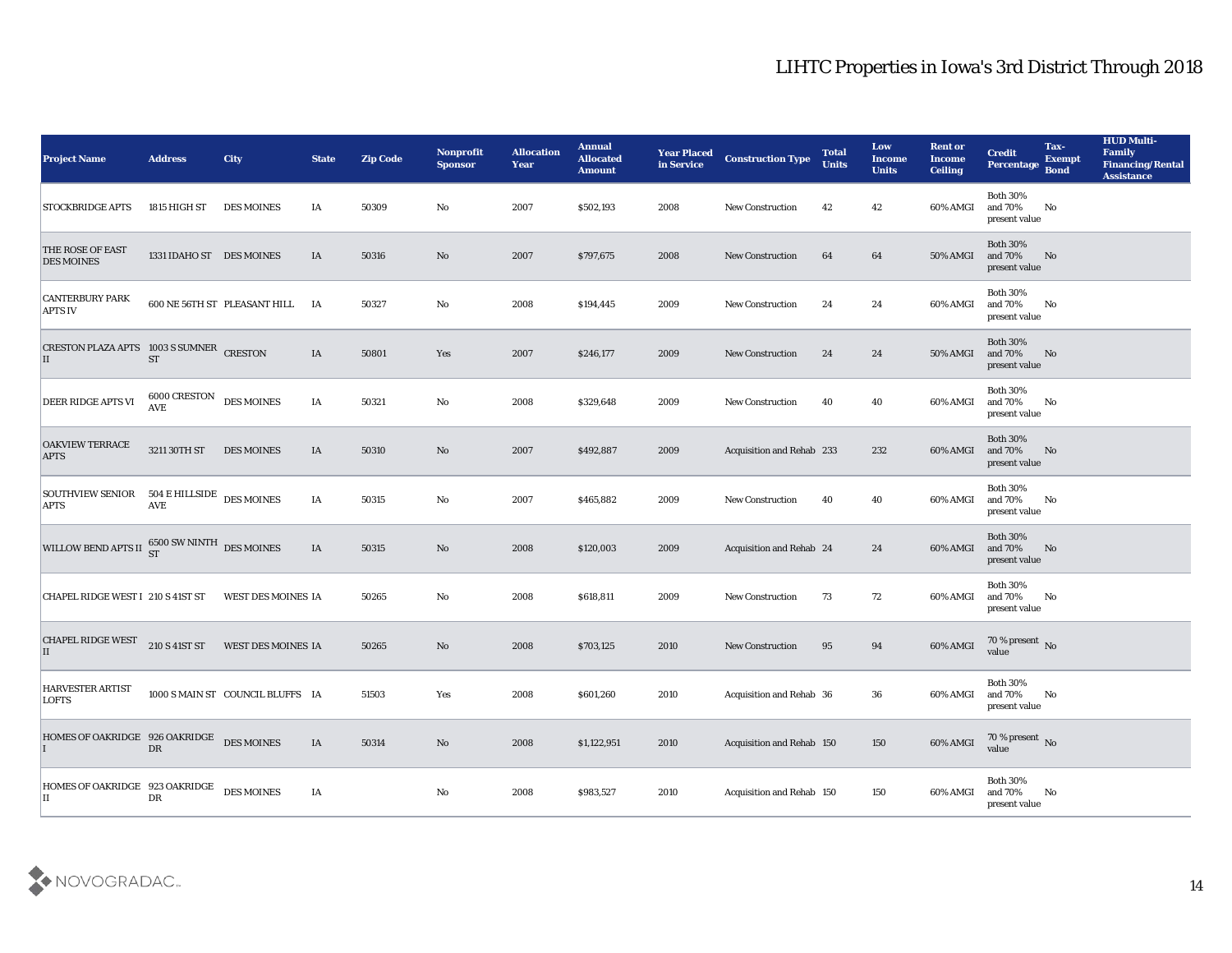| <b>Project Name</b>                                       | <b>Address</b>             | <b>City</b>                      | <b>State</b> | <b>Zip Code</b> | Nonprofit<br><b>Sponsor</b> | <b>Allocation</b><br><b>Year</b> | <b>Annual</b><br><b>Allocated</b><br><b>Amount</b> | <b>Year Placed</b><br>in Service | <b>Construction Type</b>  | <b>Total</b><br><b>Units</b> | Low<br><b>Income</b><br><b>Units</b> | <b>Rent or</b><br><b>Income</b><br><b>Ceiling</b> | <b>Credit</b><br>Percentage                 | Tax-<br><b>Exempt</b><br><b>Bond</b> | <b>HUD Multi-</b><br>Family<br><b>Financing/Rental</b><br><b>Assistance</b> |
|-----------------------------------------------------------|----------------------------|----------------------------------|--------------|-----------------|-----------------------------|----------------------------------|----------------------------------------------------|----------------------------------|---------------------------|------------------------------|--------------------------------------|---------------------------------------------------|---------------------------------------------|--------------------------------------|-----------------------------------------------------------------------------|
| <b>STOCKBRIDGE APTS</b>                                   | 1815 HIGH ST               | <b>DES MOINES</b>                | IA           | 50309           | No                          | 2007                             | \$502,193                                          | 2008                             | <b>New Construction</b>   | 42                           | 42                                   | 60% AMGI                                          | <b>Both 30%</b><br>and 70%<br>present value | No                                   |                                                                             |
| THE ROSE OF EAST<br><b>DES MOINES</b>                     | 1331 IDAHO ST DES MOINES   |                                  | IA           | 50316           | No                          | 2007                             | \$797,675                                          | 2008                             | <b>New Construction</b>   | 64                           | 64                                   | 50% AMGI                                          | <b>Both 30%</b><br>and 70%<br>present value | No                                   |                                                                             |
| <b>CANTERBURY PARK</b><br><b>APTS IV</b>                  |                            | 600 NE 56TH ST PLEASANT HILL     | IA           | 50327           | No                          | 2008                             | \$194,445                                          | 2009                             | <b>New Construction</b>   | 24                           | 24                                   | 60% AMGI                                          | <b>Both 30%</b><br>and 70%<br>present value | No                                   |                                                                             |
| CRESTON PLAZA APTS 1003 S SUMNER CRESTON<br>П             | <b>ST</b>                  |                                  | IA           | 50801           | Yes                         | 2007                             | \$246,177                                          | 2009                             | <b>New Construction</b>   | 24                           | 24                                   | 50% AMGI                                          | <b>Both 30%</b><br>and 70%<br>present value | No                                   |                                                                             |
| <b>DEER RIDGE APTS VI</b>                                 | 6000 CRESTON<br><b>AVE</b> | <b>DES MOINES</b>                | IA           | 50321           | No                          | 2008                             | \$329,648                                          | 2009                             | <b>New Construction</b>   | 40                           | 40                                   | 60% AMGI                                          | <b>Both 30%</b><br>and 70%<br>present value | No                                   |                                                                             |
| <b>OAKVIEW TERRACE</b><br><b>APTS</b>                     | 3211 30TH ST               | <b>DES MOINES</b>                | IA           | 50310           | No                          | 2007                             | \$492,887                                          | 2009                             | Acquisition and Rehab 233 |                              | 232                                  | 60% AMGI                                          | <b>Both 30%</b><br>and 70%<br>present value | No                                   |                                                                             |
| SOUTHVIEW SENIOR 504 E HILLSIDE DES MOINES<br><b>APTS</b> | <b>AVE</b>                 |                                  | IA           | 50315           | No                          | 2007                             | \$465,882                                          | 2009                             | <b>New Construction</b>   | 40                           | 40                                   | 60% AMGI                                          | <b>Both 30%</b><br>and 70%<br>present value | No                                   |                                                                             |
| WILLOW BEND APTS II $^{6500}_{ST}$ SW NINTH DES MOINES    |                            |                                  | IA           | 50315           | No                          | 2008                             | \$120,003                                          | 2009                             | Acquisition and Rehab 24  |                              | 24                                   | 60% AMGI                                          | <b>Both 30%</b><br>and 70%<br>present value | No                                   |                                                                             |
| CHAPEL RIDGE WEST I 210 S 41ST ST                         |                            | WEST DES MOINES IA               |              | 50265           | No                          | 2008                             | \$618,811                                          | 2009                             | <b>New Construction</b>   | 73                           | 72                                   | 60% AMGI                                          | <b>Both 30%</b><br>and 70%<br>present value | No                                   |                                                                             |
| <b>CHAPEL RIDGE WEST</b><br>П                             | 210 S 41ST ST              | WEST DES MOINES IA               |              | 50265           | No                          | 2008                             | \$703,125                                          | 2010                             | <b>New Construction</b>   | 95                           | 94                                   | 60% AMGI                                          | $70\,\%$ present $\,$ No value              |                                      |                                                                             |
| <b>HARVESTER ARTIST</b><br><b>LOFTS</b>                   |                            | 1000 S MAIN ST COUNCIL BLUFFS IA |              | 51503           | Yes                         | 2008                             | \$601,260                                          | 2010                             | Acquisition and Rehab 36  |                              | 36                                   | 60% AMGI and 70%                                  | <b>Both 30%</b><br>present value            | No                                   |                                                                             |
| HOMES OF OAKRIDGE 926 OAKRIDGE                            | ${\rm DR}$                 | <b>DES MOINES</b>                | $\rm I\rm A$ | 50314           | $\rm\thinspace No$          | 2008                             | \$1,122,951                                        | 2010                             | Acquisition and Rehab 150 |                              | 150                                  | 60% AMGI                                          | $70\,\%$ present $\,$ No value              |                                      |                                                                             |
| HOMES OF OAKRIDGE 923 OAKRIDGE<br>II                      | ${\rm D}{\rm R}$           | <b>DES MOINES</b>                | IA           |                 | $\mathbf {No}$              | 2008                             | \$983,527                                          | 2010                             | Acquisition and Rehab 150 |                              | 150                                  | 60% AMGI                                          | Both $30\%$<br>and 70%<br>present value     | No                                   |                                                                             |

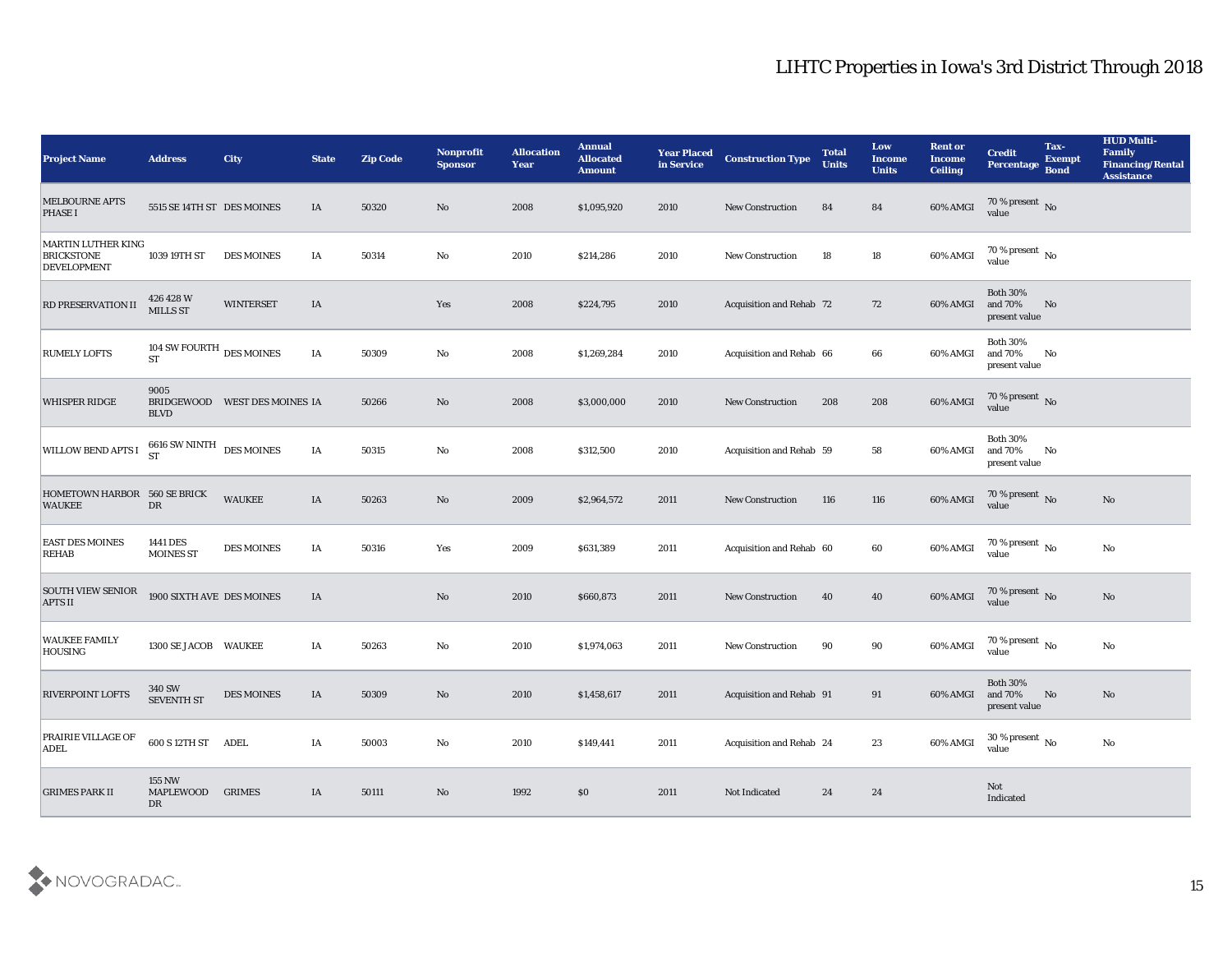| <b>Project Name</b>                                                  | <b>Address</b>                                 | <b>City</b>                   | <b>State</b> | <b>Zip Code</b> | Nonprofit<br><b>Sponsor</b> | <b>Allocation</b><br><b>Year</b> | <b>Annual</b><br><b>Allocated</b><br><b>Amount</b> | <b>Year Placed</b><br>in Service | <b>Construction Type</b>        | <b>Total</b><br><b>Units</b> | Low<br><b>Income</b><br><b>Units</b> | <b>Rent or</b><br><b>Income</b><br><b>Ceiling</b> | <b>Credit</b><br><b>Percentage</b>          | Tax-<br><b>Exempt</b><br><b>Bond</b> | <b>HUD Multi-</b><br>Family<br><b>Financing/Rental</b><br><b>Assistance</b> |
|----------------------------------------------------------------------|------------------------------------------------|-------------------------------|--------------|-----------------|-----------------------------|----------------------------------|----------------------------------------------------|----------------------------------|---------------------------------|------------------------------|--------------------------------------|---------------------------------------------------|---------------------------------------------|--------------------------------------|-----------------------------------------------------------------------------|
| <b>MELBOURNE APTS</b><br><b>PHASE I</b>                              | 5515 SE 14TH ST DES MOINES                     |                               | IA           | 50320           | No                          | 2008                             | \$1,095,920                                        | 2010                             | <b>New Construction</b>         | 84                           | 84                                   | 60% AMGI                                          | $70\,\%$ present $\,$ No value              |                                      |                                                                             |
| <b>MARTIN LUTHER KING</b><br><b>BRICKSTONE</b><br><b>DEVELOPMENT</b> | 1039 19TH ST                                   | <b>DES MOINES</b>             | IA           | 50314           | No                          | 2010                             | \$214,286                                          | 2010                             | <b>New Construction</b>         | 18                           | 18                                   | 60% AMGI                                          | $70\,\%$ present $\,$ No value              |                                      |                                                                             |
| RD PRESERVATION II                                                   | 426 428 W<br><b>MILLS ST</b>                   | <b>WINTERSET</b>              | IA           |                 | Yes                         | 2008                             | \$224,795                                          | 2010                             | <b>Acquisition and Rehab 72</b> |                              | 72                                   | 60% AMGI                                          | <b>Both 30%</b><br>and 70%<br>present value | No                                   |                                                                             |
| <b>RUMELY LOFTS</b>                                                  | 104 SW FOURTH $_{\rm DES~MOINES}$<br><b>ST</b> |                               | IA           | 50309           | No                          | 2008                             | \$1,269,284                                        | 2010                             | Acquisition and Rehab 66        |                              | 66                                   | 60% AMGI                                          | <b>Both 30%</b><br>and 70%<br>present value | No                                   |                                                                             |
| <b>WHISPER RIDGE</b>                                                 | 9005<br><b>BLVD</b>                            | BRIDGEWOOD WEST DES MOINES IA |              | 50266           | No                          | 2008                             | \$3,000,000                                        | 2010                             | <b>New Construction</b>         | 208                          | 208                                  | 60% AMGI                                          | $70\,\%$ present $\,$ No value              |                                      |                                                                             |
| WILLOW BEND APTS I                                                   | 6616 SW NINTH<br>ST                            | <b>DES MOINES</b>             | IA           | 50315           | No                          | 2008                             | \$312,500                                          | 2010                             | Acquisition and Rehab 59        |                              | 58                                   | 60% AMGI                                          | <b>Both 30%</b><br>and 70%<br>present value | No                                   |                                                                             |
| HOMETOWN HARBOR 560 SE BRICK<br><b>WAUKEE</b>                        | DR                                             | <b>WAUKEE</b>                 | IA           | 50263           | No                          | 2009                             | \$2,964,572                                        | 2011                             | <b>New Construction</b>         | 116                          | 116                                  | 60% AMGI                                          | $70\%$ present No<br>value                  |                                      | No                                                                          |
| <b>EAST DES MOINES</b><br><b>REHAB</b>                               | 1441 DES<br><b>MOINES ST</b>                   | DES MOINES                    | IA           | 50316           | Yes                         | 2009                             | \$631,389                                          | 2011                             | Acquisition and Rehab 60        |                              | 60                                   | 60% AMGI                                          | 70 % present $\,$ No $\,$<br>value          |                                      | No                                                                          |
| <b>SOUTH VIEW SENIOR</b><br><b>APTS II</b>                           | 1900 SIXTH AVE DES MOINES                      |                               | IA           |                 | No                          | 2010                             | \$660,873                                          | 2011                             | <b>New Construction</b>         | 40                           | 40                                   | 60% AMGI                                          | $70\,\%$ present $\,$ No value              |                                      | No                                                                          |
| <b>WAUKEE FAMILY</b><br>HOUSING                                      | 1300 SE JACOB WAUKEE                           |                               | IA           | 50263           | No                          | 2010                             | \$1,974,063                                        | 2011                             | <b>New Construction</b>         | 90                           | 90                                   | 60% AMGI                                          | 70 % present $\,$ No $\,$<br>value          |                                      | No                                                                          |
| <b>RIVERPOINT LOFTS</b>                                              | <b>340 SW</b><br><b>SEVENTH ST</b>             | <b>DES MOINES</b>             | IA           | 50309           | No                          | 2010                             | \$1,458,617                                        | 2011                             | Acquisition and Rehab 91        |                              | 91                                   | 60% AMGI and 70%                                  | <b>Both 30%</b><br>present value            | No                                   | No                                                                          |
| <b>PRAIRIE VILLAGE OF</b><br>ADEL                                    | 600 S 12TH ST ADEL                             |                               | $\rm I A$    | 50003           | $\mathbf {No}$              | 2010                             | \$149,441                                          | 2011                             | Acquisition and Rehab 24        |                              | 23                                   | 60% AMGI                                          | $30\,\%$ present $\,$ No value              |                                      | $\mathbf{No}$                                                               |
| <b>GRIMES PARK II</b>                                                | <b>155 NW</b><br>MAPLEWOOD<br>DR               | <b>GRIMES</b>                 | IA           | 50111           | $\mathbf {No}$              | 1992                             | $\$0$                                              | 2011                             | Not Indicated                   | 24                           | 24                                   |                                                   | Not<br>Indicated                            |                                      |                                                                             |

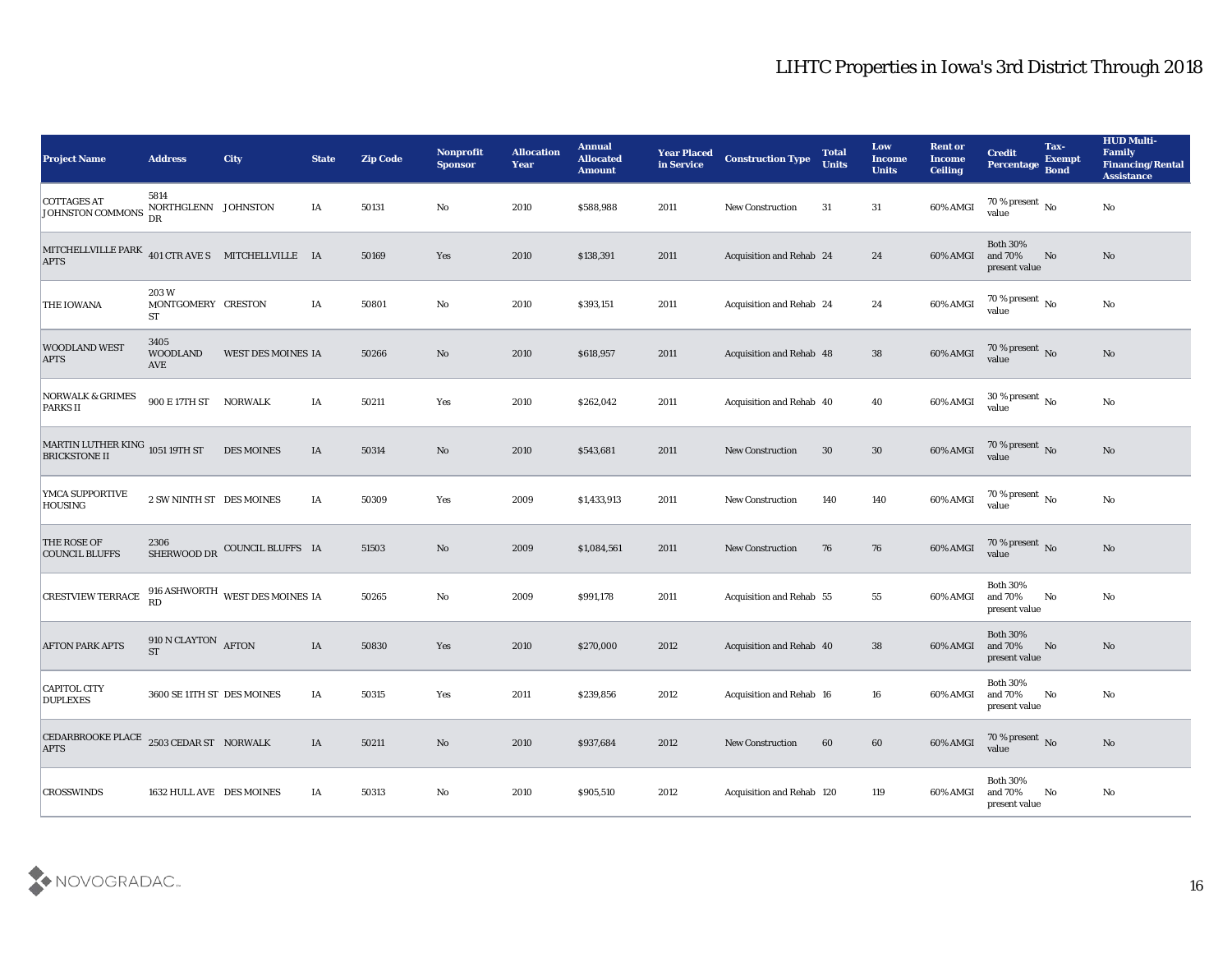| <b>Project Name</b>                                                                                                           | <b>Address</b>                          | <b>City</b>                            | <b>State</b> | <b>Zip Code</b> | Nonprofit<br><b>Sponsor</b> | <b>Allocation</b><br><b>Year</b> | <b>Annual</b><br><b>Allocated</b><br><b>Amount</b> | <b>Year Placed</b><br>in Service | <b>Construction Type</b>  | <b>Total</b><br><b>Units</b> | Low<br><b>Income</b><br><b>Units</b> | <b>Rent or</b><br><b>Income</b><br><b>Ceiling</b> | <b>Credit</b><br><b>Percentage</b>          | Tax-<br><b>Exempt</b><br><b>Bond</b> | <b>HUD Multi-</b><br>Family<br><b>Financing/Rental</b><br><b>Assistance</b> |
|-------------------------------------------------------------------------------------------------------------------------------|-----------------------------------------|----------------------------------------|--------------|-----------------|-----------------------------|----------------------------------|----------------------------------------------------|----------------------------------|---------------------------|------------------------------|--------------------------------------|---------------------------------------------------|---------------------------------------------|--------------------------------------|-----------------------------------------------------------------------------|
| <b>COTTAGES AT</b><br>JOHNSTON COMMONS                                                                                        | 5814<br>NORTHGLENN JOHNSTON<br>DR       |                                        | IA           | 50131           | No                          | 2010                             | \$588,988                                          | 2011                             | <b>New Construction</b>   | 31                           | 31                                   | 60% AMGI                                          | 70 % present $\overline{N_0}$<br>value      |                                      | No                                                                          |
| $\begin{tabular}{lllll} MITCHELIVILLE { PARK} & & & & \\ & 401 CTR AVES & MITCHELLVILLE & IA \\ \end{tabular}$<br><b>APTS</b> |                                         |                                        |              | 50169           | Yes                         | 2010                             | \$138,391                                          | 2011                             | Acquisition and Rehab 24  |                              | 24                                   | 60% AMGI                                          | <b>Both 30%</b><br>and 70%<br>present value | No                                   | No                                                                          |
| <b>THE IOWANA</b>                                                                                                             | 203W<br>MONTGOMERY CRESTON<br><b>ST</b> |                                        | IA           | 50801           | No                          | 2010                             | \$393,151                                          | 2011                             | Acquisition and Rehab 24  |                              | 24                                   | 60% AMGI                                          | 70 % present $\,$ No $\,$<br>value          |                                      | No                                                                          |
| <b>WOODLAND WEST</b><br><b>APTS</b>                                                                                           | 3405<br><b>WOODLAND</b><br><b>AVE</b>   | WEST DES MOINES IA                     |              | 50266           | No                          | 2010                             | \$618,957                                          | 2011                             | Acquisition and Rehab 48  |                              | 38                                   | 60% AMGI                                          | $\frac{70\%}{\text{value}}$ No              |                                      | No                                                                          |
| <b>NORWALK &amp; GRIMES</b><br><b>PARKS II</b>                                                                                | 900 E 17TH ST NORWALK                   |                                        | IA           | 50211           | Yes                         | 2010                             | \$262,042                                          | 2011                             | Acquisition and Rehab 40  |                              | 40                                   | 60% AMGI                                          | 30 % present $\,$ No $\,$<br>value          |                                      | $\mathbf{N}\mathbf{o}$                                                      |
| MARTIN LUTHER KING $_{1051}$ 19TH ST<br><b>BRICKSTONE II</b>                                                                  |                                         | <b>DES MOINES</b>                      | IA           | 50314           | No                          | 2010                             | \$543,681                                          | 2011                             | <b>New Construction</b>   | 30                           | 30                                   | 60% AMGI                                          | $70$ % present $\,$ No value                |                                      | No                                                                          |
| YMCA SUPPORTIVE<br><b>HOUSING</b>                                                                                             | 2 SW NINTH ST DES MOINES                |                                        | IA           | 50309           | Yes                         | 2009                             | \$1,433,913                                        | 2011                             | <b>New Construction</b>   | 140                          | 140                                  | 60% AMGI                                          | $70\,\%$ present $\,$ No value              |                                      | No                                                                          |
| <b>THE ROSE OF</b><br><b>COUNCIL BLUFFS</b>                                                                                   | 2306<br>SHERWOOD DR                     | COUNCIL BLUFFS IA                      |              | 51503           | No                          | 2009                             | \$1,084,561                                        | 2011                             | <b>New Construction</b>   | 76                           | 76                                   | 60% AMGI                                          | 70 % present No<br>value                    |                                      | No                                                                          |
| <b>CRESTVIEW TERRACE</b>                                                                                                      | RD                                      | $916$ ASHWORTH $\,$ WEST DES MOINES 1A |              | 50265           | No                          | 2009                             | \$991,178                                          | 2011                             | Acquisition and Rehab 55  |                              | 55                                   | 60% AMGI                                          | <b>Both 30%</b><br>and 70%<br>present value | No                                   | No                                                                          |
| <b>AFTON PARK APTS</b>                                                                                                        | 910 N CLAYTON AFTON<br><b>ST</b>        |                                        | IA           | 50830           | Yes                         | 2010                             | \$270,000                                          | 2012                             | Acquisition and Rehab 40  |                              | 38                                   | 60% AMGI                                          | <b>Both 30%</b><br>and 70%<br>present value | No                                   | No                                                                          |
| CAPITOL CITY<br><b>DUPLEXES</b>                                                                                               | 3600 SE 11TH ST DES MOINES              |                                        | IA           | 50315           | Yes                         | 2011                             | \$239,856                                          | 2012                             | Acquisition and Rehab 16  |                              | 16                                   | 60% AMGI                                          | <b>Both 30%</b><br>and 70%<br>present value | No                                   | No                                                                          |
| CEDARBROOKE PLACE 2503 CEDAR ST NORWALK<br><b>APTS</b>                                                                        |                                         |                                        | $\rm IA$     | 50211           | $\mathbf {No}$              | 2010                             | \$937,684                                          | 2012                             | New Construction          | 60                           | 60                                   | $60\%$ AMGI                                       | $70$ % present $\,$ No value                |                                      | $\rm\thinspace No$                                                          |
| <b>CROSSWINDS</b>                                                                                                             | 1632 HULL AVE DES MOINES                |                                        | IA           | 50313           | $\mathbf {No}$              | 2010                             | \$905,510                                          | 2012                             | Acquisition and Rehab 120 |                              | 119                                  | 60% AMGI                                          | <b>Both 30%</b><br>and 70%<br>present value | No                                   | $\rm\thinspace No$                                                          |

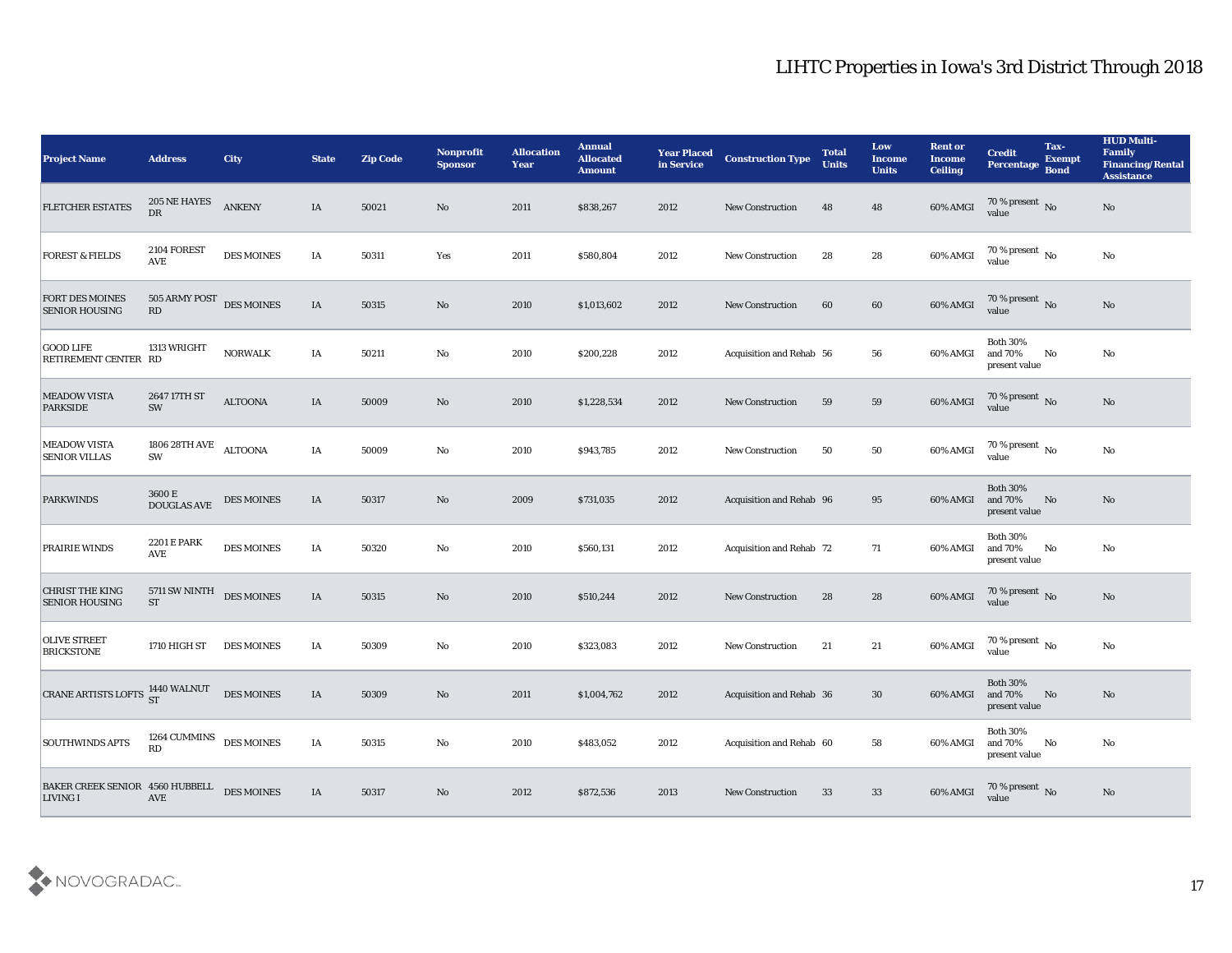| <b>Project Name</b>                                    | <b>Address</b>                 | <b>City</b>       | <b>State</b> | <b>Zip Code</b> | Nonprofit<br><b>Sponsor</b> | <b>Allocation</b><br><b>Year</b> | <b>Annual</b><br><b>Allocated</b><br><b>Amount</b> | <b>Year Placed</b><br>in Service | <b>Construction Type</b> | <b>Total</b><br><b>Units</b> | Low<br><b>Income</b><br><b>Units</b> | <b>Rent or</b><br><b>Income</b><br><b>Ceiling</b> | <b>Credit</b><br>Percentage Bond            | Tax-<br><b>Exempt</b>  | <b>HUD Multi-</b><br>Family<br><b>Financing/Rental</b><br><b>Assistance</b> |
|--------------------------------------------------------|--------------------------------|-------------------|--------------|-----------------|-----------------------------|----------------------------------|----------------------------------------------------|----------------------------------|--------------------------|------------------------------|--------------------------------------|---------------------------------------------------|---------------------------------------------|------------------------|-----------------------------------------------------------------------------|
| <b>FLETCHER ESTATES</b>                                | 205 NE HAYES<br>${\rm DR}$     | <b>ANKENY</b>     | IA           | 50021           | No                          | 2011                             | \$838,267                                          | 2012                             | <b>New Construction</b>  | 48                           | 48                                   | 60% AMGI                                          | $70\,\%$ present $\,$ No value              |                        | No                                                                          |
| <b>FOREST &amp; FIELDS</b>                             | 2104 FOREST<br>AVE             | <b>DES MOINES</b> | IA           | 50311           | Yes                         | 2011                             | \$580,804                                          | 2012                             | <b>New Construction</b>  | 28                           | 28                                   | 60% AMGI                                          | $70\,\%$ present $\,$ No value              |                        | $\mathbf{N}\mathbf{o}$                                                      |
| <b>FORT DES MOINES</b><br><b>SENIOR HOUSING</b>        | 505 ARMY POST DES MOINES<br>RD |                   | IA           | 50315           | No                          | 2010                             | \$1,013,602                                        | 2012                             | New Construction         | 60                           | 60                                   | $60\%$ AMGI                                       | $70\,\%$ present $\,$ No value              |                        | No                                                                          |
| <b>GOOD LIFE</b><br>RETIREMENT CENTER RD               | 1313 WRIGHT                    | <b>NORWALK</b>    | IA           | 50211           | $\mathbf{No}$               | 2010                             | \$200,228                                          | 2012                             | Acquisition and Rehab 56 |                              | 56                                   | 60% AMGI                                          | <b>Both 30%</b><br>and 70%<br>present value | $\mathbf{N}\mathbf{o}$ | No                                                                          |
| <b>MEADOW VISTA</b><br><b>PARKSIDE</b>                 | 2647 17TH ST<br>SW             | <b>ALTOONA</b>    | IA           | 50009           | No                          | 2010                             | \$1,228,534                                        | 2012                             | <b>New Construction</b>  | 59                           | 59                                   | 60% AMGI                                          | $70\,\%$ present $\,$ No value              |                        | No                                                                          |
| <b>MEADOW VISTA</b><br><b>SENIOR VILLAS</b>            | 1806 28TH AVE<br>SW            | <b>ALTOONA</b>    | IA           | 50009           | $\mathbf{No}$               | 2010                             | \$943,785                                          | 2012                             | <b>New Construction</b>  | 50                           | 50                                   | 60% AMGI                                          | $70\,\%$ present $\,$ No value              |                        | $\mathbf{N}\mathbf{o}$                                                      |
| <b>PARKWINDS</b>                                       | $3600\,\mathrm{E}$ DOUGLAS AVE | DES MOINES        | IA           | 50317           | No                          | 2009                             | \$731,035                                          | 2012                             | Acquisition and Rehab 96 |                              | 95                                   | 60% AMGI                                          | <b>Both 30%</b><br>and 70%<br>present value | No                     | No                                                                          |
| PRAIRIE WINDS                                          | <b>2201 E PARK</b><br>AVE      | DES MOINES        | IA           | 50320           | No                          | 2010                             | \$560,131                                          | 2012                             | Acquisition and Rehab 72 |                              | 71                                   | 60% AMGI                                          | <b>Both 30%</b><br>and 70%<br>present value | No                     | No                                                                          |
| <b>CHRIST THE KING</b><br><b>SENIOR HOUSING</b>        | 5711 SW NINTH<br><b>ST</b>     | <b>DES MOINES</b> | IA           | 50315           | No                          | 2010                             | \$510,244                                          | 2012                             | New Construction         | 28                           | 28                                   | 60% AMGI                                          | $70\,\%$ present $\,$ No value              |                        | No                                                                          |
| <b>OLIVE STREET</b><br><b>BRICKSTONE</b>               | 1710 HIGH ST                   | <b>DES MOINES</b> | IA           | 50309           | No                          | 2010                             | \$323,083                                          | 2012                             | <b>New Construction</b>  | 21                           | 21                                   | 60% AMGI                                          | $70\,\%$ present $\,$ No value              |                        | No                                                                          |
| CRANE ARTISTS LOFTS $\frac{1440}{ST}$ WALNUT           |                                | DES MOINES        | IA           | 50309           | No                          | 2011                             | \$1,004,762                                        | 2012                             | Acquisition and Rehab 36 |                              | 30                                   | 60% AMGI and 70%                                  | <b>Both 30%</b><br>present value            | No                     | No                                                                          |
| <b>SOUTHWINDS APTS</b>                                 | 1264 CUMMINS DES MOINES<br>RD  |                   | $\rm IA$     | 50315           | $\mathbf {No}$              | 2010                             | \$483,052                                          | 2012                             | Acquisition and Rehab 60 |                              | 58                                   | 60% AMGI                                          | <b>Both 30%</b><br>and 70%<br>present value | $\mathbf{N}\mathbf{o}$ | No                                                                          |
| BAKER CREEK SENIOR 4560 HUBBELL DES MOINES<br>LIVING I | AVE                            |                   | IA           | 50317           | $\rm\thinspace No$          | 2012                             | \$872,536                                          | 2013                             | <b>New Construction</b>  | 33                           | 33                                   | 60% AMGI                                          | $70\,\%$ present $\,$ No value              |                        | No                                                                          |

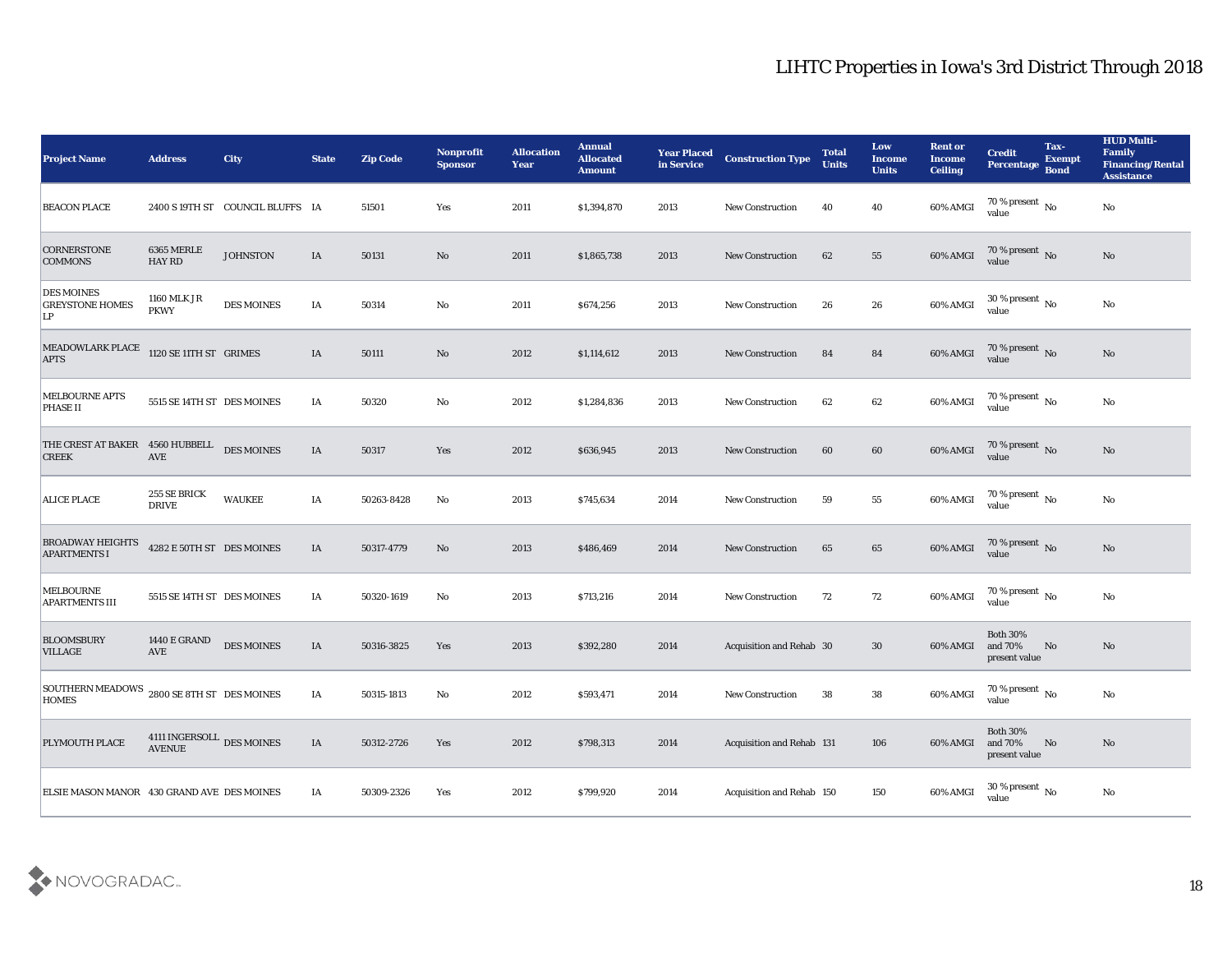| <b>Project Name</b>                               | <b>Address</b>                                                                          | <b>City</b>                     | <b>State</b> | <b>Zip Code</b> | <b>Nonprofit</b><br><b>Sponsor</b> | <b>Allocation</b><br><b>Year</b> | <b>Annual</b><br><b>Allocated</b><br><b>Amount</b> | <b>Year Placed</b><br>in Service | <b>Construction Type</b>  | <b>Total</b><br><b>Units</b> | Low<br><b>Income</b><br><b>Units</b> | <b>Rent or</b><br><b>Income</b><br><b>Ceiling</b> | <b>Credit</b><br>Percentage Bond            | Tax-<br><b>Exempt</b> | <b>HUD Multi-</b><br>Family<br><b>Financing/Rental</b><br><b>Assistance</b> |
|---------------------------------------------------|-----------------------------------------------------------------------------------------|---------------------------------|--------------|-----------------|------------------------------------|----------------------------------|----------------------------------------------------|----------------------------------|---------------------------|------------------------------|--------------------------------------|---------------------------------------------------|---------------------------------------------|-----------------------|-----------------------------------------------------------------------------|
| <b>BEACON PLACE</b>                               |                                                                                         | 2400 S19TH ST COUNCIL BLUFFS IA |              | 51501           | Yes                                | 2011                             | \$1,394,870                                        | 2013                             | <b>New Construction</b>   | 40                           | 40                                   | 60% AMGI                                          | 70 % present $\overline{N_0}$<br>value      |                       | No                                                                          |
| <b>CORNERSTONE</b><br><b>COMMONS</b>              | 6365 MERLE<br><b>HAY RD</b>                                                             | <b>JOHNSTON</b>                 | IA           | 50131           | No                                 | 2011                             | \$1,865,738                                        | 2013                             | New Construction          | 62                           | 55                                   | 60% AMGI                                          | $70\,\%$ present $\,$ No value              |                       | No                                                                          |
| <b>DES MOINES</b><br><b>GREYSTONE HOMES</b><br>LP | 1160 MLK JR<br><b>PKWY</b>                                                              | <b>DES MOINES</b>               | IA           | 50314           | No                                 | 2011                             | \$674,256                                          | 2013                             | <b>New Construction</b>   | 26                           | 26                                   | 60% AMGI                                          | 30 % present $\,$ No $\,$<br>value          |                       | No                                                                          |
| MEADOWLARK PLACE<br><b>APTS</b>                   | 1120 SE 11TH ST GRIMES                                                                  |                                 | IA           | 50111           | No                                 | 2012                             | \$1,114,612                                        | 2013                             | <b>New Construction</b>   | 84                           | 84                                   | 60% AMGI                                          | $70\,\%$ present $\,$ No value              |                       | No                                                                          |
| <b>MELBOURNE APTS</b><br><b>PHASE II</b>          | 5515 SE 14TH ST DES MOINES                                                              |                                 | IA           | 50320           | No                                 | 2012                             | \$1,284,836                                        | 2013                             | <b>New Construction</b>   | 62                           | 62                                   | 60% AMGI                                          | 70 % present $\,$ No $\,$<br>value          |                       | $\mathbf{N}\mathbf{o}$                                                      |
| THE CREST AT BAKER 4560 HUBBELL<br><b>CREEK</b>   | <b>AVE</b>                                                                              | <b>DES MOINES</b>               | IA           | 50317           | Yes                                | 2012                             | \$636,945                                          | 2013                             | <b>New Construction</b>   | 60                           | 60                                   | 60% AMGI                                          | $70\,\%$ present $\,$ No value              |                       | No                                                                          |
| <b>ALICE PLACE</b>                                | 255 SE BRICK<br><b>DRIVE</b>                                                            | <b>WAUKEE</b>                   | IA           | 50263-8428      | No                                 | 2013                             | \$745,634                                          | 2014                             | <b>New Construction</b>   | 59                           | 55                                   | 60% AMGI                                          | 70 % present $\,$ No $\,$<br>value          |                       | No                                                                          |
| <b>BROADWAY HEIGHTS</b><br><b>APARTMENTS I</b>    | 4282 E 50TH ST DES MOINES                                                               |                                 | IA           | 50317-4779      | No                                 | 2013                             | \$486,469                                          | 2014                             | <b>New Construction</b>   | 65                           | 65                                   | 60% AMGI                                          | 70 % present No<br>value                    |                       | No                                                                          |
| <b>MELBOURNE</b><br><b>APARTMENTS III</b>         | 5515 SE 14TH ST DES MOINES                                                              |                                 | IA           | 50320-1619      | No                                 | 2013                             | \$713,216                                          | 2014                             | <b>New Construction</b>   | 72                           | 72                                   | 60% AMGI                                          | 70 % present $\,$ No $\,$<br>value          |                       | No                                                                          |
| <b>BLOOMSBURY</b><br><b>VILLAGE</b>               | <b>1440 E GRAND</b><br>AVE                                                              | <b>DES MOINES</b>               | IA           | 50316-3825      | Yes                                | 2013                             | \$392,280                                          | 2014                             | Acquisition and Rehab 30  |                              | 30                                   | 60% AMGI                                          | <b>Both 30%</b><br>and 70%<br>present value | No                    | No                                                                          |
| <b>SOUTHERN MEADOWS</b><br><b>HOMES</b>           | 2800 SE 8TH ST DES MOINES                                                               |                                 | IA           | 50315-1813      | No                                 | 2012                             | \$593,471                                          | 2014                             | New Construction          | 38                           | 38                                   | 60% AMGI                                          | 70 % present $\,$ No $\,$<br>value          |                       | No                                                                          |
| PLYMOUTH PLACE                                    | $4111$ INGERSOLL $% \left\vert \left( \mathcal{A}\right) \right\vert$ DES MOINES AVENUE |                                 | IA           | 50312-2726      | Yes                                | 2012                             | \$798,313                                          | 2014                             | Acquisition and Rehab 131 |                              | 106                                  | 60% AMGI                                          | Both $30\%$<br>and $70\%$<br>present value  | No                    | No                                                                          |
| ELSIE MASON MANOR 430 GRAND AVE DES MOINES        |                                                                                         |                                 | IA           | 50309-2326      | Yes                                | 2012                             | \$799,920                                          | 2014                             | Acquisition and Rehab 150 |                              | $150\,$                              | 60% AMGI                                          | 30 % present $\,$ No $\,$<br>value          |                       | $\rm\thinspace No$                                                          |

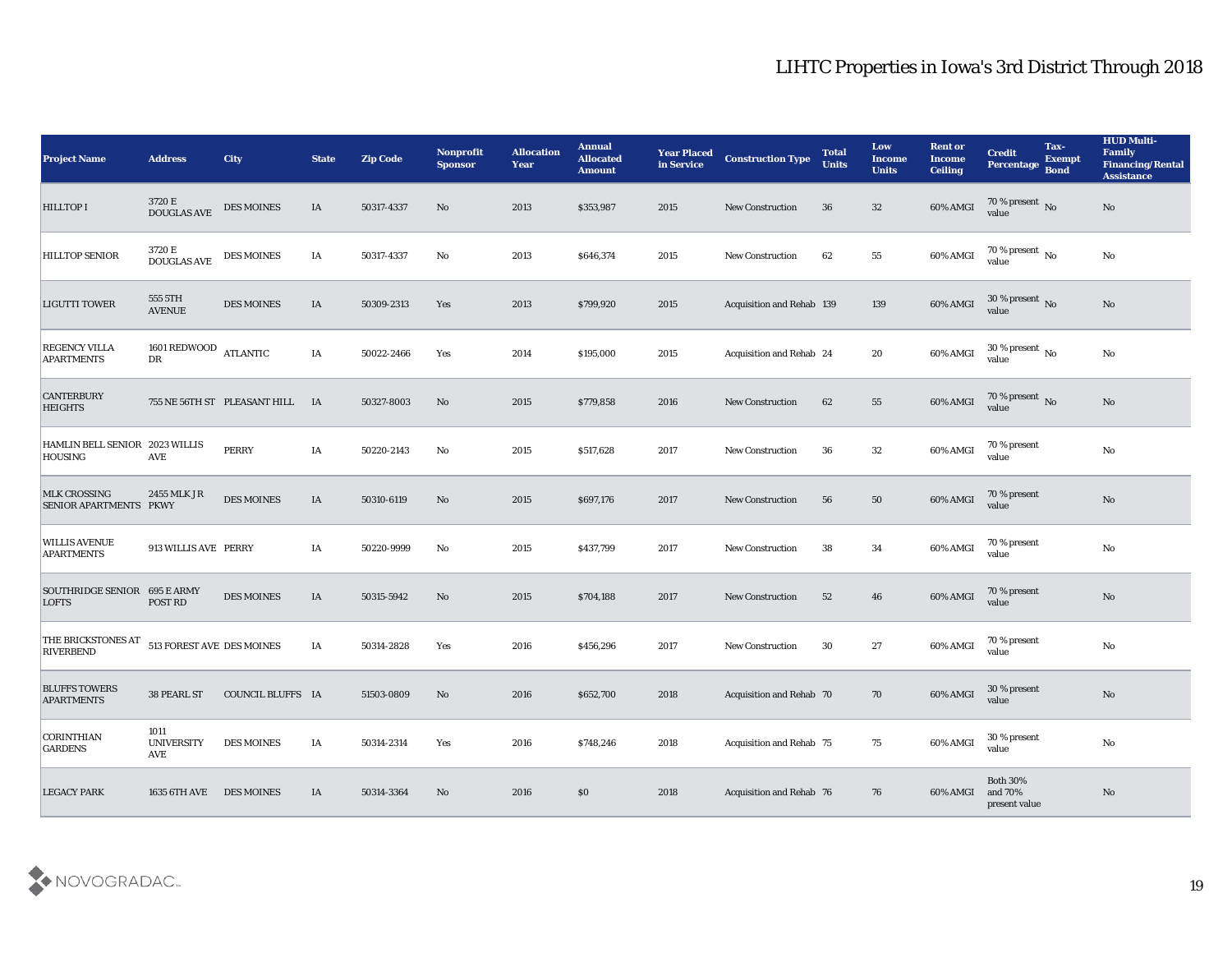| <b>Project Name</b>                           | <b>Address</b>                   | <b>City</b>                     | <b>State</b> | <b>Zip Code</b> | Nonprofit<br><b>Sponsor</b>   | <b>Allocation</b><br><b>Year</b> | <b>Annual</b><br><b>Allocated</b><br><b>Amount</b> | <b>Year Placed</b><br>in Service | <b>Construction Type</b>  | <b>Total</b><br><b>Units</b> | Low<br><b>Income</b><br><b>Units</b> | <b>Rent or</b><br><b>Income</b><br><b>Ceiling</b> | <b>Credit</b><br>Percentage                 | Tax-<br><b>Exempt</b><br><b>Bond</b> | <b>HUD Multi-</b><br>Family<br><b>Financing/Rental</b><br><b>Assistance</b> |
|-----------------------------------------------|----------------------------------|---------------------------------|--------------|-----------------|-------------------------------|----------------------------------|----------------------------------------------------|----------------------------------|---------------------------|------------------------------|--------------------------------------|---------------------------------------------------|---------------------------------------------|--------------------------------------|-----------------------------------------------------------------------------|
| <b>HILLTOP I</b>                              | 3720 E<br>DOUGLAS AVE            | <b>DES MOINES</b>               | IA           | 50317-4337      | No                            | 2013                             | \$353,987                                          | 2015                             | <b>New Construction</b>   | 36                           | 32                                   | 60% AMGI                                          | $\frac{70\%}{\text{value}}$ No              |                                      | No                                                                          |
| <b>HILLTOP SENIOR</b>                         | 3720 E<br><b>DOUGLAS AVE</b>     | <b>DES MOINES</b>               | IA           | 50317-4337      | No                            | 2013                             | \$646,374                                          | 2015                             | <b>New Construction</b>   | 62                           | 55                                   | 60% AMGI                                          | $70\,\%$ present $\,$ No value              |                                      | No                                                                          |
| <b>LIGUTTI TOWER</b>                          | 555 5TH<br><b>AVENUE</b>         | <b>DES MOINES</b>               | IA           | 50309-2313      | Yes                           | 2013                             | \$799,920                                          | 2015                             | Acquisition and Rehab 139 |                              | 139                                  | 60% AMGI                                          | 30 % present $\,$ No $\,$<br>value          |                                      | No                                                                          |
| <b>REGENCY VILLA</b><br><b>APARTMENTS</b>     | 1601 REDWOOD ATLANTIC<br>DR      |                                 | IA           | 50022-2466      | Yes                           | 2014                             | \$195,000                                          | 2015                             | Acquisition and Rehab 24  |                              | 20                                   | 60% AMGI                                          | $30\,\%$ present $\,$ No value              |                                      | No                                                                          |
| <b>CANTERBURY</b><br><b>HEIGHTS</b>           |                                  | 755 NE 56TH ST PLEASANT HILL IA |              | 50327-8003      | No                            | 2015                             | \$779,858                                          | 2016                             | New Construction          | 62                           | 55                                   | 60% AMGI                                          | $70\,\%$ present $\,$ No value              |                                      | No                                                                          |
| HAMLIN BELL SENIOR 2023 WILLIS<br>HOUSING     | <b>AVE</b>                       | PERRY                           | IA           | 50220-2143      | No                            | 2015                             | \$517,628                                          | 2017                             | New Construction          | 36                           | 32                                   | 60% AMGI                                          | 70 % present<br>value                       |                                      | No                                                                          |
| <b>MLK CROSSING</b><br>SENIOR APARTMENTS PKWY | 2455 MLK JR                      | <b>DES MOINES</b>               | IA           | 50310-6119      | No                            | 2015                             | \$697,176                                          | 2017                             | <b>New Construction</b>   | 56                           | 50                                   | 60% AMGI                                          | 70 % present<br>value                       |                                      | No                                                                          |
| <b>WILLIS AVENUE</b><br><b>APARTMENTS</b>     | 913 WILLIS AVE PERRY             |                                 | IA           | 50220-9999      | No                            | 2015                             | \$437,799                                          | 2017                             | <b>New Construction</b>   | 38                           | 34                                   | 60% AMGI                                          | 70 % present<br>value                       |                                      | $\rm\thinspace No$                                                          |
| SOUTHRIDGE SENIOR 695 E ARMY<br><b>LOFTS</b>  | POST RD                          | <b>DES MOINES</b>               | IA           | 50315-5942      | No                            | 2015                             | \$704,188                                          | 2017                             | <b>New Construction</b>   | 52                           | 46                                   | 60% AMGI                                          | 70 % present<br>value                       |                                      | No                                                                          |
| THE BRICKSTONES AT<br><b>RIVERBEND</b>        | 513 FOREST AVE DES MOINES        |                                 | IA           | 50314-2828      | Yes                           | 2016                             | \$456,296                                          | 2017                             | <b>New Construction</b>   | 30                           | 27                                   | 60% AMGI                                          | 70 % present<br>value                       |                                      | $\rm\thinspace No$                                                          |
| <b>BLUFFS TOWERS</b><br><b>APARTMENTS</b>     | 38 PEARL ST                      | COUNCIL BLUFFS IA               |              | 51503-0809      | No                            | 2016                             | \$652,700                                          | 2018                             | Acquisition and Rehab 70  |                              | 70                                   | 60% AMGI                                          | 30 % present<br>value                       |                                      | No                                                                          |
| <b>CORINTHIAN</b><br><b>GARDENS</b>           | 1011<br><b>UNIVERSITY</b><br>AVE | <b>DES MOINES</b>               | IA           | 50314-2314      | $\operatorname{\textsc{Yes}}$ | 2016                             | \$748,246                                          | 2018                             | Acquisition and Rehab 75  |                              | 75                                   | 60% AMGI                                          | 30 % present<br>value                       |                                      | ${\bf No}$                                                                  |
| <b>LEGACY PARK</b>                            | 1635 6TH AVE                     | <b>DES MOINES</b>               | IA           | 50314-3364      | No                            | 2016                             | \$0\$                                              | 2018                             | Acquisition and Rehab 76  |                              | 76                                   | 60% AMGI                                          | <b>Both 30%</b><br>and 70%<br>present value |                                      | $\rm\thinspace No$                                                          |